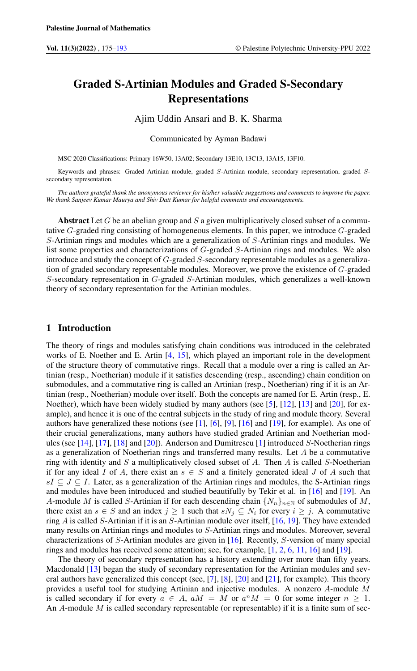# Graded S-Artinian Modules and Graded S-Secondary Representations

#### Ajim Uddin Ansari and B. K. Sharma

Communicated by Ayman Badawi

MSC 2020 Classifications: Primary 16W50, 13A02; Secondary 13E10, 13C13, 13A15, 13F10.

Keywords and phrases: Graded Artinian module, graded S-Artinian module, secondary representation, graded Ssecondary representation.

*The authors grateful thank the anonymous reviewer for his/her valuable suggestions and comments to improve the paper. We thank Sanjeev Kumar Maurya and Shiv Datt Kumar for helpful comments and encouragements.*

Abstract Let G be an abelian group and S a given multiplicatively closed subset of a commutative G-graded ring consisting of homogeneous elements. In this paper, we introduce G-graded S-Artinian rings and modules which are a generalization of S-Artinian rings and modules. We list some properties and characterizations of G-graded S-Artinian rings and modules. We also introduce and study the concept of G-graded S-secondary representable modules as a generalization of graded secondary representable modules. Moreover, we prove the existence of G-graded S-secondary representation in G-graded S-Artinian modules, which generalizes a well-known theory of secondary representation for the Artinian modules.

## 1 Introduction

The theory of rings and modules satisfying chain conditions was introduced in the celebrated works of E. Noether and E. Artin [\[4,](#page-17-1) [15\]](#page-18-0), which played an important role in the development of the structure theory of commutative rings. Recall that a module over a ring is called an Artinian (resp., Noetherian) module if it satisfies descending (resp., ascending) chain condition on submodules, and a commutative ring is called an Artinian (resp., Noetherian) ring if it is an Artinian (resp., Noetherian) module over itself. Both the concepts are named for E. Artin (resp., E. Noether), which have been widely studied by many authors (see [\[5\]](#page-17-2), [\[12\]](#page-17-3), [\[13\]](#page-18-1) and [\[20\]](#page-18-2), for example), and hence it is one of the central subjects in the study of ring and module theory. Several authors have generalized these notions (see [\[1\]](#page-17-4), [\[6\]](#page-17-5), [\[9\]](#page-17-6), [\[16\]](#page-18-3) and [\[19\]](#page-18-4), for example). As one of their crucial generalizations, many authors have studied graded Artinian and Noetherian modules (see [\[14\]](#page-18-5), [\[17\]](#page-18-6), [\[18\]](#page-18-7) and [\[20\]](#page-18-2)). Anderson and Dumitrescu [\[1\]](#page-17-4) introduced S-Noetherian rings as a generalization of Noetherian rings and transferred many results. Let A be a commutative ring with identity and  $S$  a multiplicatively closed subset of  $A$ . Then  $A$  is called  $S$ -Noetherian if for any ideal I of A, there exist an  $s \in S$  and a finitely generated ideal J of A such that  $sI \subseteq J \subseteq I$ . Later, as a generalization of the Artinian rings and modules, the S-Artinian rings and modules have been introduced and studied beautifully by Tekir et al. in [\[16\]](#page-18-3) and [\[19\]](#page-18-4). An A-module M is called S-Artinian if for each descending chain  $\{N_n\}_{n\in\mathbb{N}}$  of submodules of M, there exist an  $s \in S$  and an index  $j \ge 1$  such that  $sN_j \subseteq N_i$  for every  $i \ge j$ . A commutative ring A is called S-Artinian if it is an S-Artinian module over itself, [\[16,](#page-18-3) [19\]](#page-18-4). They have extended many results on Artinian rings and modules to S-Artinian rings and modules. Moreover, several characterizations of S-Artinian modules are given in [\[16\]](#page-18-3). Recently, S-version of many special rings and modules has received some attention; see, for example, [\[1,](#page-17-4) [2,](#page-17-7) [6,](#page-17-5) [11,](#page-17-8) [16\]](#page-18-3) and [\[19\]](#page-18-4).

The theory of secondary representation has a history extending over more than fifty years. Macdonald [\[13\]](#page-18-1) began the study of secondary representation for the Artinian modules and several authors have generalized this concept (see, [\[7\]](#page-17-9), [\[8\]](#page-17-10), [\[20\]](#page-18-2) and [\[21\]](#page-18-8), for example). This theory provides a useful tool for studying Artinian and injective modules. A nonzero A-module M is called secondary if for every  $a \in A$ ,  $aM = M$  or  $a^nM = 0$  for some integer  $n \ge 1$ . An  $A$ -module  $M$  is called secondary representable (or representable) if it is a finite sum of sec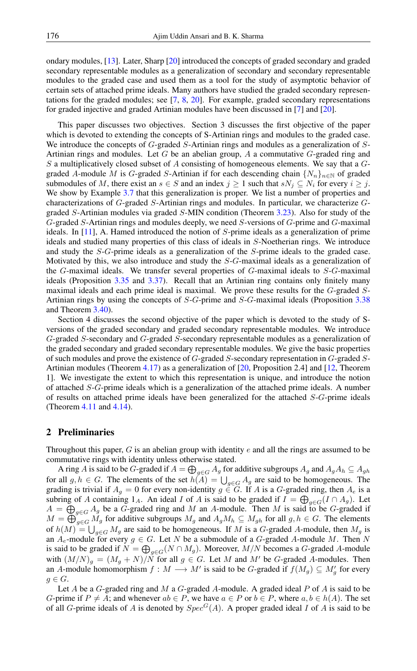ondary modules, [\[13\]](#page-18-1). Later, Sharp [\[20\]](#page-18-2) introduced the concepts of graded secondary and graded secondary representable modules as a generalization of secondary and secondary representable modules to the graded case and used them as a tool for the study of asymptotic behavior of certain sets of attached prime ideals. Many authors have studied the graded secondary representations for the graded modules; see [\[7,](#page-17-9) [8,](#page-17-10) [20\]](#page-18-2). For example, graded secondary representations for graded injective and graded Artinian modules have been discussed in [\[7\]](#page-17-9) and [\[20\]](#page-18-2).

This paper discusses two objectives. Section 3 discusses the first objective of the paper which is devoted to extending the concepts of S-Artinian rings and modules to the graded case. We introduce the concepts of G-graded S-Artinian rings and modules as a generalization of S-Artinian rings and modules. Let  $G$  be an abelian group,  $A$  a commutative  $G$ -graded ring and  $S$  a multiplicatively closed subset of  $A$  consisting of homogeneous elements. We say that a  $G$ graded A-module M is G-graded S-Artinian if for each descending chain  $\{N_n\}_{n\in\mathbb{N}}$  of graded submodules of M, there exist an  $s \in S$  and an index  $j \ge 1$  such that  $sN_j \subseteq N_i$  for every  $i \ge j$ . We show by Example [3.7](#page-3-0) that this generalization is proper. We list a number of properties and characterizations of G-graded S-Artinian rings and modules. In particular, we characterize Ggraded S-Artinian modules via graded S-MIN condition (Theorem [3.23\)](#page-7-0). Also for study of the G-graded S-Artinian rings and modules deeply, we need S-versions of G-prime and G-maximal ideals. In [\[11\]](#page-17-8), A. Hamed introduced the notion of S-prime ideals as a generalization of prime ideals and studied many properties of this class of ideals in S-Noetherian rings. We introduce and study the S-G-prime ideals as a generalization of the S-prime ideals to the graded case. Motivated by this, we also introduce and study the S-G-maximal ideals as a generalization of the G-maximal ideals. We transfer several properties of G-maximal ideals to S-G-maximal ideals (Proposition [3.35](#page-10-0) and [3.37\)](#page-11-0). Recall that an Artinian ring contains only finitely many maximal ideals and each prime ideal is maximal. We prove these results for the G-graded S-Artinian rings by using the concepts of S-G-prime and S-G-maximal ideals (Proposition [3.38](#page-11-1) and Theorem [3.40\)](#page-12-0).

Section 4 discusses the second objective of the paper which is devoted to the study of Sversions of the graded secondary and graded secondary representable modules. We introduce G-graded S-secondary and G-graded S-secondary representable modules as a generalization of the graded secondary and graded secondary representable modules. We give the basic properties of such modules and prove the existence of G-graded S-secondary representation in G-graded S-Artinian modules (Theorem [4.17\)](#page-17-11) as a generalization of [\[20,](#page-18-2) Proposition 2.4] and [\[12,](#page-17-3) Theorem 1]. We investigate the extent to which this representation is unique, and introduce the notion of attached S-G-prime ideals which is a generalization of the attached prime ideals. A number of results on attached prime ideals have been generalized for the attached S-G-prime ideals (Theorem [4.11](#page-15-0) and [4.14\)](#page-16-0).

### 2 Preliminaries

Throughout this paper,  $G$  is an abelian group with identity  $e$  and all the rings are assumed to be commutative rings with identity unless otherwise stated.

A ring  $A$  is said to be  $G$ -graded if  $A=\bigoplus_{g\in G}A_g$  for additive subgroups  $A_g$  and  $A_gA_h\subseteq A_{gh}$ for all  $g, h \in G$ . The elements of the set  $h(A) = \bigcup_{g \in G} A_g$  are said to be homogeneous. The grading is trivial if  $A_g = 0$  for every non-identity  $g \in G$ . If A is a G-graded ring, then  $A_e$  is a subring of A containing 1<sub>A</sub>. An ideal I of A is said to be graded if  $I = \bigoplus_{g \in G} (I \cap A_g)$ . Let  $A = \bigoplus_{g \in G} A_g$  be a G-graded ring and M an A-module. Then M is said to be G-graded if  $M = \bigoplus_{g \in G} M_g$  for additive subgroups  $M_g$  and  $A_g M_h \subseteq M_{gh}$  for all  $g, h \in G$ . The elements of  $h(M) = \bigcup_{g \in G} M_g$  are said to be homogeneous. If M is a G-graded A-module, then  $M_g$  is an  $A_e$ -module for every  $g \in G$ . Let N be a submodule of a G-graded A-module M. Then N is said to be graded if  $N = \bigoplus_{g \in G} (N \cap M_g)$ . Moreover,  $M/N$  becomes a G-graded A-module with  $(M/N)_g = (M_g + N)/N$  for all  $g \in G$ . Let M and M' be G-graded A-modules. Then an A-module homomorphism  $f : M \longrightarrow M'$  is said to be G-graded if  $f(M_g) \subseteq M'_g$  for every  $g \in G$ .

Let A be a G-graded ring and M a G-graded A-module. A graded ideal P of A is said to be G-prime if  $P \neq A$ ; and whenever  $ab \in P$ , we have  $a \in P$  or  $b \in P$ , where  $a, b \in h(A)$ . The set of all G-prime ideals of A is denoted by  $Spec^G(A)$ . A proper graded ideal I of A is said to be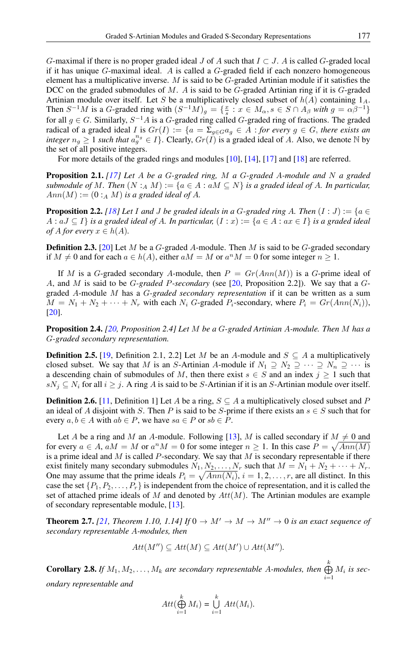G-maximal if there is no proper graded ideal J of A such that  $I \subset J$ . A is called G-graded local if it has unique  $G$ -maximal ideal. A is called a  $G$ -graded field if each nonzero homogeneous element has a multiplicative inverse.  $M$  is said to be  $G$ -graded Artinian module if it satisfies the DCC on the graded submodules of M. A is said to be G-graded Artinian ring if it is G-graded Artinian module over itself. Let S be a multiplicatively closed subset of  $h(A)$  containing  $1_A$ . Then  $S^{-1}M$  is a G-graded ring with  $(S^{-1}M)_g = \{\frac{x}{s} : x \in M_\alpha, s \in S \cap A_\beta \text{ with } g = \alpha \beta^{-1}\}\$ for all  $g \in G$ . Similarly,  $S^{-1}A$  is a G-graded ring called G-graded ring of fractions. The graded radical of a graded ideal I is  $Gr(I) := \{a = \sum_{g \in G} a_g \in A : for every g \in G, there exists an$ *integer*  $n_g \ge 1$  *such that*  $a_g^{n_g} \in I$ . Clearly,  $Gr(I)$  is a graded ideal of A. Also, we denote N by the set of all positive integers.

For more details of the graded rings and modules [\[10\]](#page-17-12), [\[14\]](#page-18-5), [\[17\]](#page-18-6) and [\[18\]](#page-18-7) are referred.

Proposition 2.1. *[\[17\]](#page-18-6) Let* A *be a* G*-graded ring,* M *a* G*-graded* A*-module and* N *a graded submodule of M. Then*  $(N :_A M) := \{a \in A : aM \subseteq N\}$  *is a graded ideal of A. In particular,*  $Ann(M) := (0 :_A M)$  *is a graded ideal of A.* 

<span id="page-2-0"></span>**Proposition 2.2.** *[\[18\]](#page-18-7)* Let I and J be graded ideals in a G-graded ring A. Then  $(I : J) := \{a \in$  $A: aJ ⊆ I$ *} is a graded ideal of A. In particular,*  $(I: x) := \{a \in A : ax \in I\}$  *is a graded ideal of A for every*  $x \in h(A)$ *.* 

**Definition 2.3.** [\[20\]](#page-18-2) Let M be a G-graded A-module. Then M is said to be G-graded secondary if  $M \neq 0$  and for each  $a \in h(A)$ , either  $aM = M$  or  $a^nM = 0$  for some integer  $n \geq 1$ .

If M is a G-graded secondary A-module, then  $P = Gr(Ann(M))$  is a G-prime ideal of A, and M is said to be G*-graded* P*-secondary* (see [\[20,](#page-18-2) Proposition 2.2]). We say that a Ggraded A-module M has a G*-graded secondary representation* if it can be written as a sum  $M = N_1 + N_2 + \cdots + N_r$  with each  $N_i$  G-graded  $P_i$ -secondary, where  $P_i = Gr(Ann(N_i))$ , [\[20\]](#page-18-2).

<span id="page-2-1"></span>Proposition 2.4. *[\[20,](#page-18-2) Proposition 2.4] Let* M *be a* G*-graded Artinian* A*-module. Then* M *has a* G*-graded secondary representation.*

**Definition 2.5.** [\[19,](#page-18-4) Definition 2.1, 2.2] Let M be an A-module and  $S \subseteq A$  a multiplicatively closed subset. We say that M is an S-Artinian A-module if  $N_1 \supseteq N_2 \supseteq \cdots \supseteq N_n \supseteq \cdots$  is a descending chain of submodules of M, then there exist  $s \in S$  and an index  $j \ge 1$  such that  $sN_i \subseteq N_i$  for all  $i \geq j$ . A ring A is said to be S-Artinian if it is an S-Artinian module over itself.

**Definition 2.6.** [\[11,](#page-17-8) Definition 1] Let A be a ring,  $S \subseteq A$  a multiplicatively closed subset and P an ideal of A disjoint with S. Then P is said to be S-prime if there exists an  $s \in S$  such that for every  $a, b \in A$  with  $ab \in P$ , we have  $sa \in P$  or  $sb \in P$ .

Let A be a ring and M an A-module. Following [\[13\]](#page-18-1), M is called secondary if  $M \neq 0$  and for every  $a \in A$ ,  $aM = M$  or  $a^nM = 0$  for some integer  $n \ge 1$ . In this case  $P = \sqrt{Ann(M)}$ is a prime ideal and  $M$  is called  $P$ -secondary. We say that  $M$  is secondary representable if there exist finitely many secondary submodules  $N_1, N_2, \ldots, N_r$  such that  $M = N_1 + N_2 + \cdots + N_r$ . One may assume that the prime ideals  $P_i = \sqrt{Ann(N_i)}$ ,  $i = 1, 2, ..., r$ , are all distinct. In this case the set  $\{P_1, P_2, \ldots, P_r\}$  is independent from the choice of representation, and it is called the set of attached prime ideals of M and denoted by  $Att(M)$ . The Artinian modules are example of secondary representable module, [\[13\]](#page-18-1).

<span id="page-2-2"></span>**Theorem 2.7.** [\[21,](#page-18-8) *Theorem 1.10, 1.14]* If  $0 \to M' \to M \to M'' \to 0$  *is an exact sequence of secondary representable* A*-modules, then*

$$
Att(M'') \subseteq Att(M) \subseteq Att(M') \cup Att(M'').
$$

<span id="page-2-3"></span>**Corollary 2.8.** If  $M_1, M_2, \ldots, M_k$  are secondary representable A-modules, then  $\bigoplus^k$  $\bigoplus_{i=1} M_i$  is sec*ondary representable and*

$$
Att(\bigoplus_{i=1}^k M_i) = \bigcup_{i=1}^k Att(M_i).
$$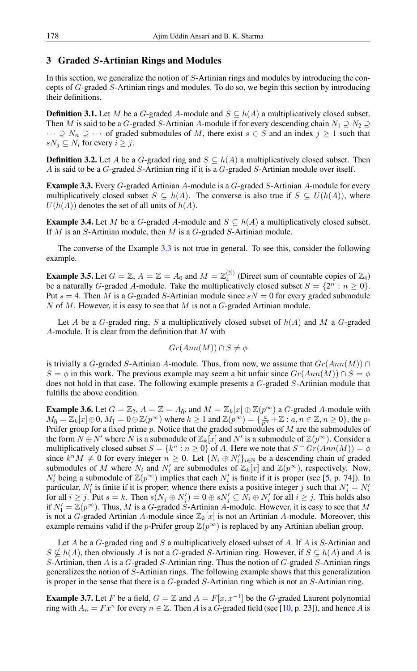# 3 Graded S-Artinian Rings and Modules

In this section, we generalize the notion of S-Artinian rings and modules by introducing the concepts of G-graded S-Artinian rings and modules. To do so, we begin this section by introducing their definitions.

**Definition 3.1.** Let M be a G-graded A-module and  $S \subseteq h(A)$  a multiplicatively closed subset. Then M is said to be a G-graded S-Artinian A-module if for every descending chain  $N_1 \supseteq N_2 \supseteq N_3$  $\cdots \supseteq N_n \supseteq \cdots$  of graded submodules of M, there exist  $s \in S$  and an index  $j \geq 1$  such that  $sN_i \subseteq N_i$  for every  $i \geq j$ .

**Definition 3.2.** Let A be a G-graded ring and  $S \subseteq h(A)$  a multiplicatively closed subset. Then A is said to be a G-graded S-Artinian ring if it is a G-graded S-Artinian module over itself.

<span id="page-3-1"></span>Example 3.3. Every G-graded Artinian A-module is a G-graded S-Artinian A-module for every multiplicatively closed subset  $S \subseteq h(A)$ . The converse is also true if  $S \subseteq U(h(A))$ , where  $U(h(A))$  denotes the set of all units of  $h(A)$ .

<span id="page-3-2"></span>**Example 3.4.** Let M be a G-graded A-module and  $S \subseteq h(A)$  a multiplicatively closed subset. If  $M$  is an  $S$ -Artinian module, then  $M$  is a  $G$ -graded  $S$ -Artinian module.

The converse of the Example [3.3](#page-3-1) is not true in general. To see this, consider the following example.

**Example 3.5.** Let  $G = \mathbb{Z}$ ,  $A = \mathbb{Z} = A_0$  and  $M = \mathbb{Z}_4^{(\mathbb{N})}$  $\binom{N}{4}$  (Direct sum of countable copies of  $\mathbb{Z}_4$ ) be a naturally G-graded A-module. Take the multiplicatively closed subset  $S = \{2^n : n \ge 0\}$ . Put  $s = 4$ . Then M is a G-graded S-Artinian module since  $sN = 0$  for every graded submodule  $N$  of  $M$ . However, it is easy to see that  $M$  is not a  $G$ -graded Artinian module.

Let A be a G-graded ring, S a multiplicatively closed subset of  $h(A)$  and M a G-graded A-module. It is clear from the definition that  $M$  with

$$
Gr(Ann(M)) \cap S \neq \phi
$$

is trivially a G-graded S-Artinian A-module. Thus, from now, we assume that  $Gr(Ann(M)) \cap$  $S = \phi$  in this work. The previous example may seem a bit unfair since  $Gr(Ann(M)) \cap S = \phi$ does not hold in that case. The following example presents a G-graded S-Artinian module that fulfills the above condition.

**Example 3.6.** Let  $G = \mathbb{Z}_2$ ,  $A = \mathbb{Z} = A_{\bar{0}}$ , and  $M = \mathbb{Z}_k[x] \oplus \mathbb{Z}(p^{\infty})$  a G-graded A-module with  $M_{\bar{0}} = \mathbb{Z}_k[x] \oplus 0$ ,  $M_{\bar{1}} = 0 \oplus \mathbb{Z}(p^{\infty})$  where  $k \ge 1$  and  $\mathbb{Z}(p^{\infty}) = \{\frac{a}{p^n} + \mathbb{Z} : a, n \in \mathbb{Z}, n \ge 0\}$ , the p-Prüfer group for a fixed prime p. Notice that the graded submodules of M are the submodules of the form  $N \oplus N'$  where N is a submodule of  $\mathbb{Z}_k[x]$  and N' is a submodule of  $\mathbb{Z}(p^{\infty})$ . Consider a multiplicatively closed subset  $S = \{k^n : n \geq 0\}$  of A. Here we note that  $S \cap Gr(Ann(M)) = \phi$ since  $k^n M \neq 0$  for every integer  $n \geq 0$ . Let  $\{N_i \oplus N'_i\}_{i \in \mathbb{N}}$  be a descending chain of graded submodules of M where  $N_i$  and  $N'_i$  are submodules of  $\mathbb{Z}_k[x]$  and  $\mathbb{Z}(p^{\infty})$ , respectively. Now,  $N'_i$  being a submodule of  $\mathbb{Z}(p^{\infty})$  implies that each  $N'_i$  is finite if it is proper (see [\[5,](#page-17-2) p. 74]). In particular,  $N'_1$  is finite if it is proper; whence there exists a positive integer j such that  $N'_j = N'_i$ for all  $i \ge j$ . Put  $s = k$ . Then  $s(N_j \oplus N'_j) = 0 \oplus sN'_j \subseteq N_i \oplus N'_i$  for all  $i \ge j$ . This holds also if  $N_1' = \mathbb{Z}(p^{\infty})$ . Thus, M is a G-graded S-Artinian A-module. However, it is easy to see that M is not a G-graded Artinian A-module since  $\mathbb{Z}_k[x]$  is not an Artinian A-module. Moreover, this example remains valid if the *p*-Prüfer group  $\mathbb{Z}(p^{\infty})$  is replaced by any Artinian abelian group.

Let A be a G-graded ring and S a multiplicatively closed subset of A. If A is S-Artinian and  $S \nsubseteq h(A)$ , then obviously A is not a G-graded S-Artinian ring. However, if  $S \subseteq h(A)$  and A is S-Artinian, then A is a  $G$ -graded S-Artinian ring. Thus the notion of  $G$ -graded S-Artinian rings generalizes the notion of S-Artinian rings. The following example shows that this generalization is proper in the sense that there is a G-graded S-Artinian ring which is not an S-Artinian ring.

<span id="page-3-0"></span>**Example 3.7.** Let F be a field,  $G = \mathbb{Z}$  and  $A = F[x, x^{-1}]$  be the G-graded Laurent polynomial ring with  $A_n = F x^n$  for every  $n \in \mathbb{Z}$ . Then A is a G-graded field (see [\[10,](#page-17-12) p. 23]), and hence A is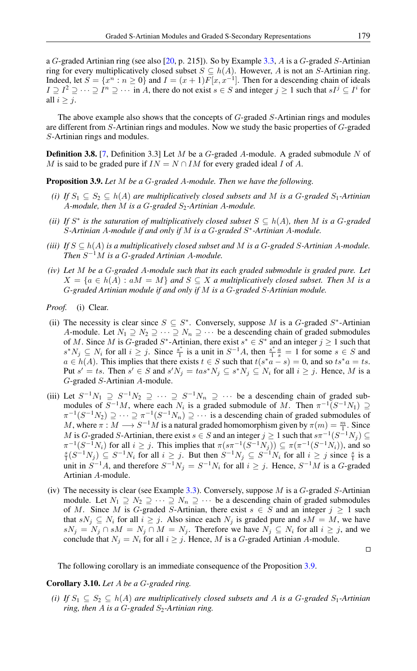a G-graded Artinian ring (see also  $[20, p. 215]$  $[20, p. 215]$ ). So by Example [3.3,](#page-3-1) A is a G-graded S-Artinian ring for every multiplicatively closed subset  $S \subseteq h(A)$ . However, A is not an S-Artinian ring. Indeed, let  $S = \{x^n : n \ge 0\}$  and  $I = (x + 1)F[x, x^{-1}]$ . Then for a descending chain of ideals  $I \supseteq I^2 \supseteq \cdots \supseteq I^n \supseteq \cdots$  in A, there do not exist  $s \in S$  and integer  $j \geq 1$  such that  $sI^j \subseteq I^i$  for all  $i \geq j$ .

The above example also shows that the concepts of G-graded S-Artinian rings and modules are different from S-Artinian rings and modules. Now we study the basic properties of G-graded S-Artinian rings and modules.

**Definition 3.8.** [\[7,](#page-17-9) Definition 3.3] Let M be a G-graded A-module. A graded submodule N of M is said to be graded pure if  $IN = N \cap IM$  for every graded ideal I of A.

<span id="page-4-0"></span>Proposition 3.9. *Let* M *be a* G*-graded* A*-module. Then we have the following.*

- *(i) If*  $S_1 \subseteq S_2 \subseteq h(A)$  *are multiplicatively closed subsets and* M *is a G-graded*  $S_1$ -Artinian A-module, then M is a G-graded S<sub>2</sub>-Artinian A-module.
- *(ii)* If  $S^*$  is the saturation of multiplicatively closed subset  $S \subseteq h(A)$ , then M is a G-graded S*-Artinian* A*-module if and only if* M *is a* G*-graded* S ∗ *-Artinian* A*-module.*
- *(iii) If*  $S \subseteq h(A)$  *is a multiplicatively closed subset and* M *is a G-graded S-Artinian A-module. Then* S <sup>−</sup>1M *is a* G*-graded Artinian* A*-module.*
- *(iv) Let* M *be a* G*-graded* A*-module such that its each graded submodule is graded pure. Let*  $X = \{a \in h(A) : aM = M\}$  *and*  $S \subseteq X$  *a multiplicatively closed subset. Then M is a* G*-graded Artinian module if and only if* M *is a* G*-graded* S*-Artinian module.*

*Proof.* (i) Clear.

- (ii) The necessity is clear since  $S \subseteq S^*$ . Conversely, suppose M is a G-graded  $S^*$ -Artinian A-module. Let  $N_1 \supseteq N_2 \supseteq \cdots \supseteq N_n \supseteq \cdots$  be a descending chain of graded submodules of M. Since M is G-graded  $S^*$ -Artinian, there exist  $s^* \in S^*$  and an integer  $j \ge 1$  such that  $s^*N_j \subseteq N_i$  for all  $i \geq j$ . Since  $\frac{s^*}{1}$  $\frac{s^*}{1}$  is a unit in  $S^{-1}A$ , then  $\frac{s^*}{1}$  $\frac{s^*}{1} \frac{a}{s} = 1$  for some  $s \in S$  and  $a \in h(A)$ . This implies that there exists  $t \in S$  such that  $t(s^*a - s) = 0$ , and so  $ts^*a = ts$ . Put  $s' = ts$ . Then  $s' \in S$  and  $s'N_j = tas^*N_j \subseteq s^*N_j \subseteq N_i$  for all  $i \geq j$ . Hence, M is a G-graded S-Artinian A-module.
- (iii) Let  $S^{-1}N_1 \supseteq S^{-1}N_2 \supseteq \cdots \supseteq S^{-1}N_n \supseteq \cdots$  be a descending chain of graded submodules of  $S^{-1}M$ , where each  $N_i$  is a graded submodule of M. Then  $\pi^{-1}(S^{-1}N_1) \supseteq$  $\pi^{-1}(S^{-1}N_2) \supseteq \cdots \supseteq \pi^{-1}(S^{-1}N_n) \supseteq \cdots$  is a descending chain of graded submodules of M, where  $\pi : M \longrightarrow S^{-1}M$  is a natural graded homomorphism given by  $\pi(m) = \frac{m}{1}$ . Since M is G-graded S-Artinian, there exist  $s \in S$  and an integer  $j \ge 1$  such that  $s\pi^{-1}(S^{-1}N_j) \subseteq$  $\pi^{-1}(S^{-1}N_i)$  for all  $i \geq j$ . This implies that  $\pi(s\pi^{-1}(S^{-1}N_j)) \subseteq \pi(\pi^{-1}(S^{-1}N_i))$ , and so  $\frac{s}{1}(S^{-1}N_j) \subseteq S^{-1}N_i$  for all  $i \geq j$  since  $\frac{s}{1}$  is a unit in  $S^{-1}A$ , and therefore  $S^{-1}N_j = S^{-1}N_i$  for all  $i \geq j$ . Hence,  $S^{-1}M$  is a G-graded Artinian A-module.
- (iv) The necessity is clear (see Example [3.3\)](#page-3-1). Conversely, suppose  $M$  is a  $G$ -graded  $S$ -Artinian module. Let  $N_1 \supseteq N_2 \supseteq \cdots \supseteq N_n \supseteq \cdots$  be a descending chain of graded submodules of M. Since M is G-graded S-Artinian, there exist  $s \in S$  and an integer  $j \ge 1$  such that  $sN_j \subseteq N_i$  for all  $i \geq j$ . Also since each  $N_j$  is graded pure and  $sM = M$ , we have  $sN_j = N_j \cap sM = N_j \cap M = N_j$ . Therefore we have  $N_j \subseteq N_i$  for all  $i \geq j$ , and we conclude that  $N_j = N_i$  for all  $i \geq j$ . Hence, M is a G-graded Artinian A-module.

 $\Box$ 

The following corollary is an immediate consequence of the Proposition [3.9.](#page-4-0)

#### Corollary 3.10. *Let* A *be a* G*-graded ring.*

*(i) If*  $S_1 \subseteq S_2 \subseteq h(A)$  *are multiplicatively closed subsets and* A *is a G-graded*  $S_1$ -Artinian *ring, then*  $A$  *is a G-graded*  $S_2$ -Artinian ring.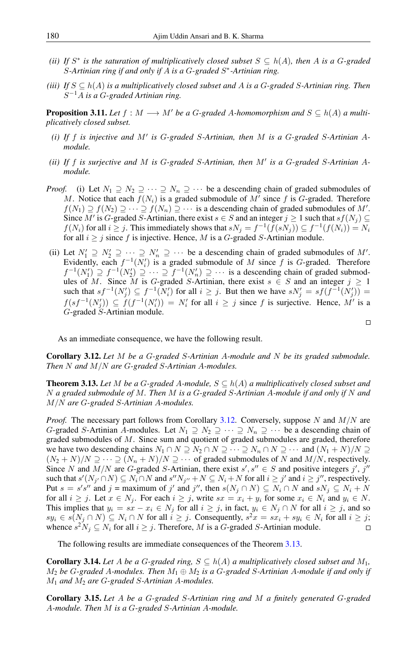- *(ii)* If  $S^*$  is the saturation of multiplicatively closed subset  $S \subseteq h(A)$ , then A is a G-graded S*-Artinian ring if and only if* A *is a* G*-graded* S ∗ *-Artinian ring.*
- *(iii) If*  $S \subseteq h(A)$  *is a multiplicatively closed subset and* A *is a G-graded S-Artinian ring. Then* S <sup>−</sup>1A *is a* G*-graded Artinian ring.*

**Proposition 3.11.** Let  $f : M \longrightarrow M'$  be a G-graded A-homomorphism and  $S \subseteq h(A)$  a multi*plicatively closed subset.*

- (*i*) If  $f$  is injective and  $M'$  is G-graded S-Artinian, then  $M$  is a G-graded S-Artinian A*module.*
- *(ii)* If  $f$  *is surjective and*  $M$  *is G-graded S-Artinian, then*  $M'$  *is a G-graded S-Artinian Amodule.*
- *Proof.* (i) Let  $N_1 \supseteq N_2 \supseteq \cdots \supseteq N_n \supseteq \cdots$  be a descending chain of graded submodules of M. Notice that each  $f(N_i)$  is a graded submodule of M' since f is G-graded. Therefore  $f(N_1) \supseteq f(N_2) \supseteq \cdots \supseteq f(N_n) \supseteq \cdots$  is a descending chain of graded submodules of M'. Since M' is G-graded S-Artinian, there exist  $s \in S$  and an integer  $j \ge 1$  such that  $sf(N_j) \subseteq S$  $f(N_i)$  for all  $i \geq j$ . This immediately shows that  $sN_j = f^{-1}(f(sN_j)) \subseteq f^{-1}(f(N_i)) = N_i$ for all  $i \geq j$  since f is injective. Hence, M is a G-graded S-Artinian module.
- (ii) Let  $N_1' \supseteq N_2' \supseteq \cdots \supseteq N_n' \supseteq \cdots$  be a descending chain of graded submodules of M'. Evidently, each  $f^{-1}(N_i')$  is a graded submodule of M since f is G-graded. Therefore  $f^{-1}(N'_1) \supseteq f^{-1}(N'_2) \supseteq \cdots \supseteq f^{-1}(N'_n) \supseteq \cdots$  is a descending chain of graded submodules of M. Since M is G-graded S-Artinian, there exist  $s \in S$  and an integer  $j \ge 1$ such that  $sf^{-1}(N_j') \subseteq f^{-1}(N_i')$  for all  $i \ge j$ . But then we have  $sN_j' = sf(f^{-1}(N_j'))$  $f(s f^{-1}(N'_j)) \subseteq f(f^{-1}(N'_i)) = N'_i$  for all  $i \geq j$  since f is surjective. Hence, M' is a G-graded S-Artinian module.

 $\Box$ 

As an immediate consequence, we have the following result.

<span id="page-5-0"></span>Corollary 3.12. *Let* M *be a* G*-graded* S*-Artinian* A*-module and* N *be its graded submodule. Then* N *and* M/N *are* G*-graded* S*-Artinian* A*-modules.*

<span id="page-5-1"></span>**Theorem 3.13.** Let M be a G-graded A-module,  $S \subseteq h(A)$  a multiplicatively closed subset and N *a graded submodule of* M*. Then* M *is a* G*-graded* S*-Artinian* A*-module if and only if* N *and* M/N *are* G*-graded* S*-Artinian* A*-modules.*

*Proof.* The necessary part follows from Corollary [3.12.](#page-5-0) Conversely, suppose N and  $M/N$  are G-graded S-Artinian A-modules. Let  $N_1 \supseteq N_2 \supseteq \cdots \supseteq N_n \supseteq \cdots$  be a descending chain of graded submodules of M. Since sum and quotient of graded submodules are graded, therefore we have two descending chains  $N_1 \cap N \supseteq N_2 \cap N \supseteq \cdots \supseteq N_n \cap N \supseteq \cdots$  and  $(N_1 + N)/N \supseteq$  $(N_2 + N)/N \supseteq \cdots \supseteq (N_n + N)/N \supseteq \cdots$  of graded submodules of N and  $M/N$ , respectively. Since N and  $M/N$  are G-graded S-Artinian, there exist  $s', s'' \in S$  and positive integers  $j', j''$ such that  $s'(N_{j'} \cap N) \subseteq N_i \cap N$  and  $s''N_{j''} + N \subseteq N_i + N$  for all  $i \geq j'$  and  $i \geq j''$ , respectively. Put  $s = s's''$  and  $j = \text{maximum of } j'$  and  $j''$ , then  $s(N_j \cap N) \subseteq N_i \cap N$  and  $sN_j \subseteq N_i + N$ for all  $i \ge j$ . Let  $x \in N_j$ . For each  $i \ge j$ , write  $sx = x_i + y_i$  for some  $x_i \in N_i$  and  $y_i \in N$ . This implies that  $y_i = sx - x_i \in N_j$  for all  $i \geq j$ , in fact,  $y_i \in N_j \cap N$  for all  $i \geq j$ , and so  $sy_i \in s(N_j \cap N) \subseteq N_i \cap N$  for all  $i \geq j$ . Consequently,  $s^2x = sx_i + sy_i \in N_i$  for all  $i \geq j$ ; whence  $s^2 N_j \subseteq N_i$  for all  $i \geq j$ . Therefore, M is a G-graded S-Artinian module.  $\Box$ 

The following results are immediate consequences of the Theorem [3.13.](#page-5-1)

<span id="page-5-2"></span>**Corollary 3.14.** Let A be a G-graded ring,  $S \subseteq h(A)$  a multiplicatively closed subset and  $M_1$ , M<sup>2</sup> *be* G*-graded* A*-modules. Then* M<sup>1</sup> ⊕ M<sup>2</sup> *is a* G*-graded* S*-Artinian* A*-module if and only if* M<sup>1</sup> *and* M<sup>2</sup> *are* G*-graded* S*-Artinian* A*-modules.*

Corollary 3.15. *Let* A *be a* G*-graded* S*-Artinian ring and* M *a finitely generated* G*-graded* A*-module. Then* M *is a* G*-graded* S*-Artinian* A*-module.*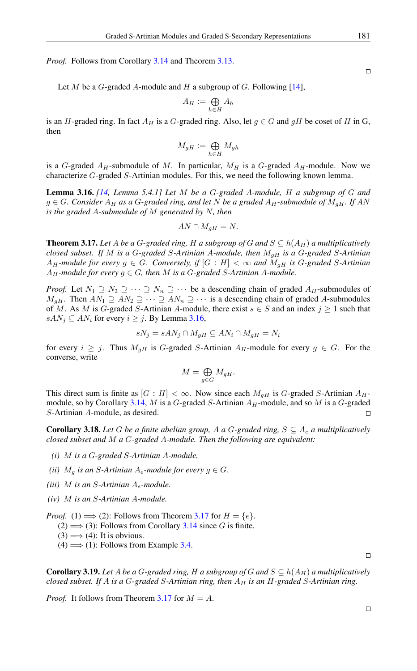*Proof.* Follows from Corollary [3.14](#page-5-2) and Theorem [3.13.](#page-5-1)

Let M be a G-graded A-module and H a subgroup of G. Following [\[14\]](#page-18-5),

$$
A_H := \bigoplus_{h \in H} A_h
$$

is an H-graded ring. In fact  $A_H$  is a G-graded ring. Also, let  $g \in G$  and  $gH$  be coset of H in G, then

$$
M_{gH}:=\bigoplus_{h\in H}M_{gh}
$$

is a G-graded  $A_H$ -submodule of M. In particular,  $M_H$  is a G-graded  $A_H$ -module. Now we characterize G-graded S-Artinian modules. For this, we need the following known lemma.

<span id="page-6-0"></span>Lemma 3.16. *[\[14,](#page-18-5) Lemma 5.4.1] Let* M *be a* G*-graded* A*-module,* H *a subgroup of* G *and*  $g$  ∈ *G*. Consider  $A$ <sup>H</sup> as a *G*-graded ring, and let *N* be a graded  $A$ <sup>H</sup>-submodule of  $M$ <sub>q</sub>H. If AN *is the graded* A*-submodule of* M *generated by* N*, then*

$$
AN \cap M_{gH} = N.
$$

<span id="page-6-1"></span>**Theorem 3.17.** Let A be a G-graded ring, H a subgroup of G and  $S \subseteq h(A_H)$  a multiplicatively *closed subset. If* M *is a* G*-graded* S*-Artinian* A*-module, then* MgH *is a* G*-graded* S*-Artinian*  $A_H$ -module for every  $g \in G$ . Conversely, if  $|G : H| < \infty$  and  $M_{gH}$  is G-graded S-Artinian  $A_H$ *-module for every*  $g \in G$ *, then* M *is a G-graded S-Artinian A-module.* 

*Proof.* Let  $N_1 \supseteq N_2 \supseteq \cdots \supseteq N_n \supseteq \cdots$  be a descending chain of graded  $A_H$ -submodules of  $M_{gH}$ . Then  $AN_1 \supseteq AN_2 \supseteq \cdots \supseteq AN_n \supseteq \cdots$  is a descending chain of graded A-submodules of M. As M is G-graded S-Artinian A-module, there exist  $s \in S$  and an index  $j \ge 1$  such that  $sAN_i \subseteq AN_i$  for every  $i \geq j$ . By Lemma [3.16,](#page-6-0)

$$
sN_j = sAN_j \cap M_{gH} \subseteq AN_i \cap M_{gH} = N_i
$$

for every  $i \geq j$ . Thus  $M_{gH}$  is G-graded S-Artinian  $A_H$ -module for every  $g \in G$ . For the converse, write

$$
M = \bigoplus_{g \in G} M_{gH}.
$$

This direct sum is finite as  $[G : H] < \infty$ . Now since each  $M_{\text{off}}$  is G-graded S-Artinian  $A_H$ -module, so by Corollary [3.14,](#page-5-2) M is a G-graded S-Artinian  $A_H$ -module, and so M is a G-graded S-Artinian A-module, as desired.  $\Box$ 

**Corollary 3.18.** Let G be a finite abelian group, A a G-graded ring,  $S \subseteq A_e$  a multiplicatively *closed subset and* M *a* G*-graded* A*-module. Then the following are equivalent:*

- *(i)* M *is a* G*-graded* S*-Artinian* A*-module.*
- *(ii)*  $M<sub>g</sub>$  *is an S-Artinian A<sub>e</sub>-module for every*  $g \in G$ *.*
- *(iii)* M *is an* S*-Artinian* Ae*-module.*
- *(iv)* M *is an* S*-Artinian* A*-module.*

*Proof.* (1)  $\implies$  (2): Follows from Theorem [3.17](#page-6-1) for  $H = \{e\}.$ 

 $(2) \implies (3)$ : Follows from Corollary [3.14](#page-5-2) since G is finite.

- $(3) \Longrightarrow (4)$ : It is obvious.
- $(4) \Longrightarrow (1)$ : Follows from Example [3.4.](#page-3-2)

**Corollary 3.19.** Let A be a G-graded ring, H a subgroup of G and  $S \subseteq h(A_H)$  a multiplicatively *closed subset. If* A *is a* G*-graded* S*-Artinian ring, then* A<sup>H</sup> *is an* H*-graded* S*-Artinian ring.*

*Proof.* It follows from Theorem [3.17](#page-6-1) for  $M = A$ .

 $\Box$ 

 $\Box$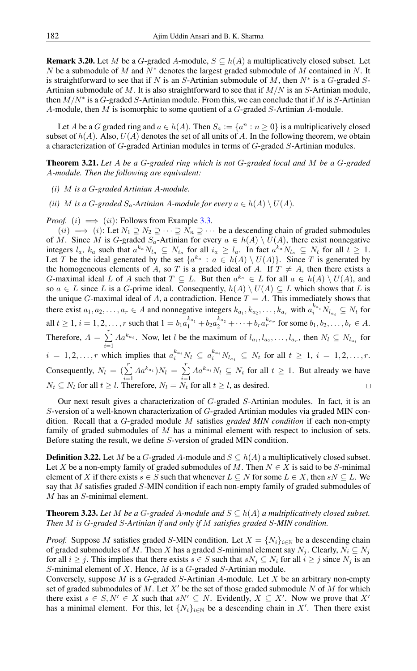**Remark 3.20.** Let M be a G-graded A-module,  $S \subseteq h(A)$  a multiplicatively closed subset. Let N be a submodule of M and  $N^*$  denotes the largest graded submodule of M contained in N. It is straightforward to see that if N is an S-Artinian submodule of M, then  $N^*$  is a G-graded S-Artinian submodule of M. It is also straightforward to see that if  $M/N$  is an S-Artinian module, then  $M/N^*$  is a G-graded S-Artinian module. From this, we can conclude that if M is S-Artinian A-module, then M is isomorphic to some quotient of a G-graded S-Artinian A-module.

Let A be a G graded ring and  $a \in h(A)$ . Then  $S_a := \{a^n : n \ge 0\}$  is a multiplicatively closed subset of  $h(A)$ . Also,  $U(A)$  denotes the set of all units of A. In the following theorem, we obtain a characterization of G-graded Artinian modules in terms of G-graded S-Artinian modules.

Theorem 3.21. *Let* A *be a* G*-graded ring which is not* G*-graded local and* M *be a* G*-graded* A*-module. Then the following are equivalent:*

- *(i)* M *is a* G*-graded Artinian* A*-module.*
- *(ii) M is a G-graded*  $S_a$ -Artinian *A*-module for every  $a \in h(A) \setminus U(A)$ .

*Proof.* (i)  $\implies$  (ii): Follows from Example [3.3.](#page-3-1)

 $(ii) \implies (i)$ : Let  $N_1 \supseteq N_2 \supseteq \cdots \supseteq N_n \supseteq \cdots$  be a descending chain of graded submodules of M. Since M is G-graded  $S_a$ -Artinian for every  $a \in h(A) \setminus U(A)$ , there exist nonnegative integers  $l_a$ ,  $k_a$  such that  $a^{k_a} N_{l_a} \subseteq N_{i_a}$  for all  $i_a \ge l_a$ . In fact  $a^{k_a} N_{l_a} \subseteq N_t$  for all  $t \ge 1$ . Let T be the ideal generated by the set  $\{a^{k_a} : a \in h(A) \setminus U(A)\}$ . Since T is generated by the homogeneous elements of A, so T is a graded ideal of A. If  $T \neq A$ , then there exists a *G*-maximal ideal L of A such that  $T \subseteq L$ . But then  $a^{k_a} \in L$  for all  $a \in h(A) \setminus U(A)$ , and so  $a \in L$  since L is a G-prime ideal. Consequently,  $h(A) \setminus U(A) \subseteq L$  which shows that L is the unique G-maximal ideal of A, a contradiction. Hence  $T = A$ . This immediately shows that there exist  $a_1, a_2, \ldots, a_r \in A$  and nonnegative integers  $k_{a_1}, k_{a_2}, \ldots, k_{a_r}$  with  $a_i^{k_{a_i}} N_{l_{a_i}} \subseteq N_t$  for all  $t \geq 1$ ,  $i = 1, 2, \ldots, r$  such that  $1 = b_1 a_1^{k_{a_1}} + b_2 a_2^{k_{a_2}} + \cdots + b_r a_r^{k_{a_r}}$  for some  $b_1, b_2, \ldots, b_r \in A$ . Therefore,  $A = \sum_{r=1}^{r}$  $\sum_{i=1} A a^{k_{a_i}}$ . Now, let *l* be the maximum of  $l_{a_1}, l_{a_2}, \ldots, l_{a_r}$ , then  $N_l \subseteq N_{l_{a_i}}$  for  $i = 1, 2, \ldots, r$  which implies that  $a_i^{k_{a_i}} N_l \subseteq a_i^{k_{a_i}} N_{l_{a_i}} \subseteq N_t$  for all  $t \ge 1, i = 1, 2, \ldots, r$ . Consequently,  $N_l = \left(\sum_{i=1}^r A a^{k_{a_i}}\right) N_l = \sum_{i=1}^r$  $\sum_{i=1} A a^{k_{a_i}} N_l \subseteq N_t$  for all  $t \geq 1$ . But already we have  $N_t \subseteq N_l$  for all  $t \geq l$ . Therefore,  $N_l = N_t$  for all  $t \geq l$ , as desired.

Our next result gives a characterization of G-graded S-Artinian modules. In fact, it is an S-version of a well-known characterization of G-graded Artinian modules via graded MIN condition. Recall that a G-graded module M satisfies *graded MIN condition* if each non-empty family of graded submodules of  $M$  has a minimal element with respect to inclusion of sets. Before stating the result, we define S-version of graded MIN condition.

**Definition 3.22.** Let M be a G-graded A-module and  $S \subseteq h(A)$  a multiplicatively closed subset. Let X be a non-empty family of graded submodules of M. Then  $N \in X$  is said to be S-minimal element of X if there exists  $s \in S$  such that whenever  $L \subseteq N$  for some  $L \in X$ , then  $sN \subseteq L$ . We say that M satisfies graded S-MIN condition if each non-empty family of graded submodules of M has an S-minimal element.

<span id="page-7-0"></span>**Theorem 3.23.** Let M be a G-graded A-module and  $S \subseteq h(A)$  a multiplicatively closed subset. *Then* M *is* G*-graded* S*-Artinian if and only if* M *satisfies graded* S*-MIN condition.*

*Proof.* Suppose M satisfies graded S-MIN condition. Let  $X = \{N_i\}_{i \in \mathbb{N}}$  be a descending chain of graded submodules of M. Then X has a graded S-minimal element say  $N_j$ . Clearly,  $N_i \subseteq N_j$ for all  $i \geq j$ . This implies that there exists  $s \in S$  such that  $sN_j \subseteq N_i$  for all  $i \geq j$  since  $N_j$  is an  $S$ -minimal element of  $X$ . Hence,  $M$  is a  $G$ -graded  $S$ -Artinian module.

Conversely, suppose  $M$  is a  $G$ -graded  $S$ -Artinian  $A$ -module. Let  $X$  be an arbitrary non-empty set of graded submodules of M. Let  $X'$  be the set of those graded submodule N of M for which there exist  $s \in S, N' \in X$  such that  $sN' \subseteq N$ . Evidently,  $X \subseteq X'$ . Now we prove that X' has a minimal element. For this, let  $\{N_i\}_{i\in\mathbb{N}}$  be a descending chain in X'. Then there exist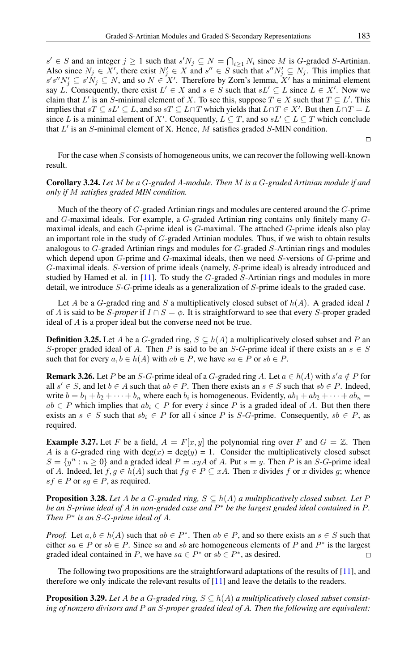$s' \in S$  and an integer  $j \ge 1$  such that  $s'N_j \subseteq N = \bigcap_{i \ge 1} N_i$  since M is G-graded S-Artinian. Also since  $N_j \in X'$ , there exist  $N'_j \in X$  and  $s'' \in S$  such that  $s''N'_j \subseteq N_j$ . This implies that  $s's''N'_j \subseteq s'N_j \subseteq N$ , and so  $N \in X'$ . Therefore by Zorn's lemma, X' has a minimal element say L. Consequently, there exist  $L' \in X$  and  $s \in S$  such that  $sL' \subseteq L$  since  $L \in X'$ . Now we claim that L' is an S-minimal element of X. To see this, suppose  $T \in X$  such that  $T \subseteq L'$ . This implies that  $sT \subseteq sL' \subseteq L$ , and so  $sT \subseteq L \cap T$  which yields that  $L \cap T \in X'$ . But then  $L \cap T = L$ since L is a minimal element of X'. Consequently,  $L \subseteq T$ , and so  $sL' \subseteq L \subseteq T$  which conclude that  $L'$  is an S-minimal element of X. Hence, M satisfies graded S-MIN condition.

 $\Box$ 

For the case when S consists of homogeneous units, we can recover the following well-known result.

### Corollary 3.24. *Let* M *be a* G*-graded* A*-module. Then* M *is a* G*-graded Artinian module if and only if* M *satisfies graded MIN condition.*

Much of the theory of G-graded Artinian rings and modules are centered around the G-prime and G-maximal ideals. For example, a G-graded Artinian ring contains only finitely many Gmaximal ideals, and each G-prime ideal is G-maximal. The attached G-prime ideals also play an important role in the study of G-graded Artinian modules. Thus, if we wish to obtain results analogous to G-graded Artinian rings and modules for G-graded S-Artinian rings and modules which depend upon G-prime and G-maximal ideals, then we need S-versions of G-prime and G-maximal ideals. S-version of prime ideals (namely, S-prime ideal) is already introduced and studied by Hamed et al. in  $[11]$ . To study the  $G$ -graded  $S$ -Artinian rings and modules in more detail, we introduce S-G-prime ideals as a generalization of S-prime ideals to the graded case.

Let A be a G-graded ring and S a multiplicatively closed subset of  $h(A)$ . A graded ideal I of A is said to be S-proper if  $I \cap S = \phi$ . It is straightforward to see that every S-proper graded ideal of A is a proper ideal but the converse need not be true.

**Definition 3.25.** Let A be a G-graded ring,  $S \subseteq h(A)$  a multiplicatively closed subset and P an S-proper graded ideal of A. Then P is said to be an S-G-prime ideal if there exists an  $s \in S$ such that for every  $a, b \in h(A)$  with  $ab \in P$ , we have  $sa \in P$  or  $sb \in P$ .

<span id="page-8-1"></span>**Remark 3.26.** Let P be an S-G-prime ideal of a G-graded ring A. Let  $a \in h(A)$  with  $s'a \notin P$  for all  $s' \in S$ , and let  $b \in A$  such that  $ab \in P$ . Then there exists an  $s \in S$  such that  $sb \in P$ . Indeed, write  $b = b_1 + b_2 + \cdots + b_n$  where each  $b_i$  is homogeneous. Evidently,  $ab_1 + ab_2 + \cdots + ab_n =$  $ab \in P$  which implies that  $ab_i \in P$  for every i since P is a graded ideal of A. But then there exists an  $s \in S$  such that  $sb_i \in P$  for all i since P is S-G-prime. Consequently,  $sb \in P$ , as required.

<span id="page-8-0"></span>**Example 3.27.** Let F be a field,  $A = F[x, y]$  the polynomial ring over F and  $G = \mathbb{Z}$ . Then A is a G-graded ring with deg(x) = deg(y) = 1. Consider the multiplicatively closed subset  $S = \{y^n : n \ge 0\}$  and a graded ideal  $P = xyA$  of A. Put  $s = y$ . Then P is an S-G-prime ideal of A. Indeed, let  $f, g \in h(A)$  such that  $fg \in P \subseteq xA$ . Then x divides f or x divides g; whence  $sf \in P$  or  $sg \in P$ , as required.

**Proposition 3.28.** Let A be a G-graded ring,  $S \subseteq h(A)$  a multiplicatively closed subset. Let P *be an* S*-prime ideal of* A *in non-graded case and* P <sup>∗</sup> *be the largest graded ideal contained in* P*. Then* P ∗ *is an* S*-*G*-prime ideal of* A*.*

*Proof.* Let  $a, b \in h(A)$  such that  $ab \in P^*$ . Then  $ab \in P$ , and so there exists an  $s \in S$  such that either  $sa \in P$  or  $sb \in P$ . Since sa and sb are homogeneous elements of P and  $P^*$  is the largest graded ideal contained in P, we have  $sa \in P^*$  or  $sb \in P^*$ , as desired.  $\Box$ 

The following two propositions are the straightforward adaptations of the results of [\[11\]](#page-17-8), and therefore we only indicate the relevant results of [\[11\]](#page-17-8) and leave the details to the readers.

**Proposition 3.29.** Let A be a G-graded ring,  $S \subseteq h(A)$  a multiplicatively closed subset consist*ing of nonzero divisors and* P *an* S*-proper graded ideal of* A*. Then the following are equivalent:*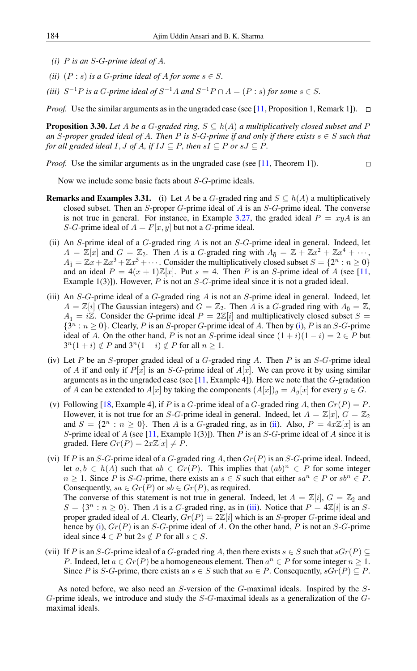- *(i)* P *is an* S*-*G*-prime ideal of* A*.*
- *(ii)*  $(P : s)$  *is a G-prime ideal of A for some*  $s \in S$ *.*
- (*iii*)  $S^{-1}P$  *is a G-prime ideal of*  $S^{-1}A$  *and*  $S^{-1}P \cap A = (P : s)$  *for some*  $s \in S$ *.*

*Proof.* Use the similar arguments as in the ungraded case (see [\[11,](#page-17-8) Proposition 1, Remark 1]).  $\Box$ 

**Proposition 3.30.** Let A be a G-graded ring,  $S \subseteq h(A)$  a multiplicatively closed subset and P *an* S-proper graded ideal of A. Then P is S-G-prime if and only if there exists  $s \in S$  *such that for all graded ideal*  $I, J$  *of*  $A,$  *if*  $IJ \subseteq P$ *, then*  $sI \subseteq P$  *or*  $sJ \subseteq P$ *.* 

*Proof.* Use the similar arguments as in the ungraded case (see [\[11,](#page-17-8) Theorem 1]).  $\Box$ 

Now we include some basic facts about S-G-prime ideals.

- **Remarks and Examples 3.31.** (i) Let A be a G-graded ring and  $S \subseteq h(A)$  a multiplicatively closed subset. Then an  $S$ -proper  $G$ -prime ideal of  $A$  is an  $S$ - $G$ -prime ideal. The converse is not true in general. For instance, in Example [3.27,](#page-8-0) the graded ideal  $P = xyA$  is an S-G-prime ideal of  $A = F[x, y]$  but not a G-prime ideal.
- <span id="page-9-0"></span>(ii) An S-prime ideal of a  $G$ -graded ring  $A$  is not an  $S$ - $G$ -prime ideal in general. Indeed, let  $A = \mathbb{Z}[x]$  and  $G = \mathbb{Z}_2$ . Then A is a G-graded ring with  $A_{\bar{0}} = \mathbb{Z} + \mathbb{Z}x^2 + \mathbb{Z}x^4 + \cdots$ ,  $A_{\bar{1}} = \mathbb{Z}x + \mathbb{Z}x^3 + \mathbb{Z}x^5 + \cdots$  Consider the multiplicatively closed subset  $S = \{2^n : n \ge 0\}$ and an ideal  $P = 4(x + 1)\mathbb{Z}[x]$ . Put  $s = 4$ . Then P is an S-prime ideal of A (see [\[11,](#page-17-8) Example  $1(3)$ ]). However, P is not an S-G-prime ideal since it is not a graded ideal.
- <span id="page-9-1"></span>(iii) An  $S-G$ -prime ideal of a  $G$ -graded ring  $A$  is not an  $S$ -prime ideal in general. Indeed, let  $A = \mathbb{Z}[i]$  (The Gaussian integers) and  $G = \mathbb{Z}_2$ . Then A is a G-graded ring with  $A_{\bar{0}} = \mathbb{Z}$ ,  $A_{\bar{1}} = i\mathbb{Z}$ . Consider the G-prime ideal  $P = 2\mathbb{Z}[i]$  and multiplicatively closed subset  $S =$  $\{3^n : n \geq 0\}$ . Clearly, P is an S-proper G-prime ideal of A. Then by [\(i\)](#page-10-1), P is an S-G-prime ideal of A. On the other hand, P is not an S-prime ideal since  $(1 + i)(1 - i) = 2 \in P$  but  $3^n(1+i) \notin P$  and  $3^n(1-i) \notin P$  for all  $n \ge 1$ .
- (iv) Let P be an S-proper graded ideal of a  $G$ -graded ring A. Then P is an  $S$ - $G$ -prime ideal of A if and only if  $P[x]$  is an S-G-prime ideal of  $A[x]$ . We can prove it by using similar arguments as in the ungraded case (see  $[11, \text{Example 4}]$  $[11, \text{Example 4}]$ ). Here we note that the G-gradation of A can be extended to  $A[x]$  by taking the components  $(A[x])_g = A_g[x]$  for every  $g \in G$ .
- (v) Following [\[18,](#page-18-7) Example 4], if P is a G-prime ideal of a G-graded ring A, then  $Gr(P) = P$ . However, it is not true for an S-G-prime ideal in general. Indeed, let  $A = \mathbb{Z}[x]$ ,  $G = \mathbb{Z}_2$ and  $S = \{2^n : n \ge 0\}$ . Then A is a G-graded ring, as in [\(ii\)](#page-9-0). Also,  $P = 4x\mathbb{Z}[x]$  is an S-prime ideal of A (see [\[11,](#page-17-8) Example 1(3)]). Then P is an S-G-prime ideal of A since it is graded. Here  $Gr(P) = 2x\mathbb{Z}[x] \neq P$ .
- (vi) If P is an S-G-prime ideal of a G-graded ring A, then  $Gr(P)$  is an S-G-prime ideal. Indeed, let  $a, b \in h(A)$  such that  $ab \in Gr(P)$ . This implies that  $(ab)^n \in P$  for some integer  $n \geq 1$ . Since P is S-G-prime, there exists an  $s \in S$  such that either  $sa^n \in P$  or  $sb^n \in P$ . Consequently,  $sa \in Gr(P)$  or  $sb \in Gr(P)$ , as required. The converse of this statement is not true in general. Indeed, let  $A = \mathbb{Z}[i], G = \mathbb{Z}_2$  and  $S = \{3^n : n \ge 0\}$ . Then A is a G-graded ring, as in [\(iii\)](#page-9-1). Notice that  $P = 4\mathbb{Z}[i]$  is an Sproper graded ideal of A. Clearly,  $Gr(P) = 2\mathbb{Z}[i]$  which is an S-proper G-prime ideal and hence by [\(i\)](#page-10-1),  $Gr(P)$  is an S-G-prime ideal of A. On the other hand, P is not an S-G-prime ideal since  $4 \in P$  but  $2s \notin P$  for all  $s \in S$ .
- (vii) If P is an S-G-prime ideal of a G-graded ring A, then there exists  $s \in S$  such that  $sGr(P) \subseteq$ P. Indeed, let  $a \in Gr(P)$  be a homogeneous element. Then  $a^n \in P$  for some integer  $n \geq 1$ . Since P is S-G-prime, there exists an  $s \in S$  such that  $sa \in P$ . Consequently,  $sGr(P) \subseteq P$ .

As noted before, we also need an S-version of the G-maximal ideals. Inspired by the S-G-prime ideals, we introduce and study the S-G-maximal ideals as a generalization of the Gmaximal ideals.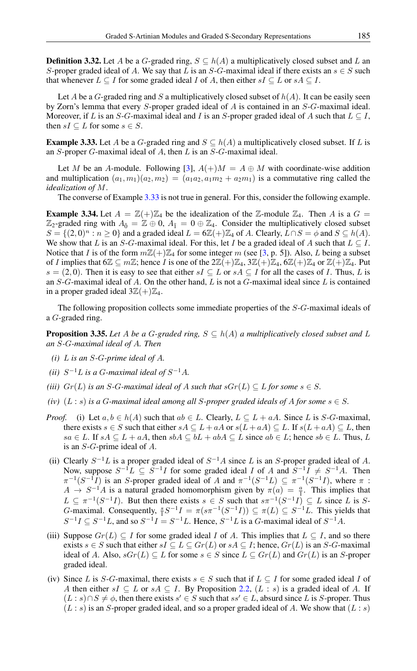**Definition 3.32.** Let A be a G-graded ring,  $S \subseteq h(A)$  a multiplicatively closed subset and L an S-proper graded ideal of A. We say that L is an S-G-maximal ideal if there exists an  $s \in S$  such that whenever  $L \subseteq I$  for some graded ideal I of A, then either  $sI \subseteq L$  or  $sA \subseteq I$ .

Let A be a G-graded ring and S a multiplicatively closed subset of  $h(A)$ . It can be easily seen by Zorn's lemma that every S-proper graded ideal of A is contained in an S-G-maximal ideal. Moreover, if L is an S-G-maximal ideal and I is an S-proper graded ideal of A such that  $L \subset I$ , then  $sI \subseteq L$  for some  $s \in S$ .

<span id="page-10-2"></span>**Example 3.33.** Let A be a G-graded ring and  $S \subseteq h(A)$  a multiplicatively closed subset. If L is an S-proper G-maximal ideal of A, then L is an S-G-maximal ideal.

Let M be an A-module. Following [\[3\]](#page-17-13),  $A(+)M = A \oplus M$  with coordinate-wise addition and multiplication  $(a_1, m_1)(a_2, m_2) = (a_1a_2, a_1m_2 + a_2m_1)$  is a commutative ring called the *idealization of* M.

The converse of Example [3.33](#page-10-2) is not true in general. For this, consider the following example.

**Example 3.34.** Let  $A = \mathbb{Z}(+) \mathbb{Z}_4$  be the idealization of the  $\mathbb{Z}_2$ -module  $\mathbb{Z}_4$ . Then A is a  $G =$  $\mathbb{Z}_2$ -graded ring with  $A_{\bar{0}} = \mathbb{Z} \oplus 0$ ,  $A_{\bar{1}} = 0 \oplus \mathbb{Z}_4$ . Consider the multiplicatively closed subset  $S = \{(2, 0)^n : n \ge 0\}$  and a graded ideal  $L = 6\mathbb{Z}(+) \mathbb{Z}_4$  of A. Clearly,  $\overline{L} \cap S = \phi$  and  $S \subseteq h(A)$ . We show that L is an S-G-maximal ideal. For this, let I be a graded ideal of A such that  $L \subseteq I$ . Notice that I is of the form  $m\mathbb{Z}(+) \mathbb{Z}_4$  for some integer m (see [\[3,](#page-17-13) p. 5]). Also, L being a subset of I implies that  $6\mathbb{Z} \subseteq m\mathbb{Z}$ ; hence I is one of the  $2\mathbb{Z}(+) \mathbb{Z}_4$ ,  $3\mathbb{Z}(+) \mathbb{Z}_4$ ,  $6\mathbb{Z}(+) \mathbb{Z}_4$  or  $\mathbb{Z}(+) \mathbb{Z}_4$ . Put  $s = (2, 0)$ . Then it is easy to see that either  $sI \subseteq L$  or  $sA \subseteq I$  for all the cases of I. Thus, L is an  $S-G$ -maximal ideal of A. On the other hand, L is not a  $G$ -maximal ideal since L is contained in a proper graded ideal  $3\mathbb{Z}(+) \mathbb{Z}_4$ .

The following proposition collects some immediate properties of the S-G-maximal ideals of a G-graded ring.

<span id="page-10-0"></span>**Proposition 3.35.** Let A be a G-graded ring,  $S \subseteq h(A)$  a multiplicatively closed subset and L *an* S*-*G*-maximal ideal of* A*. Then*

- <span id="page-10-1"></span>*(i)* L *is an* S*-*G*-prime ideal of* A*.*
- (*ii*)  $S^{-1}L$  *is a G-maximal ideal of*  $S^{-1}A$ *.*
- *(iii)*  $Gr(L)$  *is an S*-*G*-maximal ideal of A such that  $sGr(L) \subseteq L$  for some  $s \in S$ .
- *(iv)*  $(L : s)$  *is a G-maximal ideal among all S-proper graded ideals of A for some*  $s \in S$ *.*
- *Proof.* (i) Let  $a, b \in h(A)$  such that  $ab \in L$ . Clearly,  $L \subseteq L + aA$ . Since L is S-G-maximal, there exists  $s \in S$  such that either  $sA \subseteq L + aA$  or  $s(L + aA) \subseteq L$ . If  $s(L + aA) \subseteq L$ , then  $sa \in L$ . If  $sA \subseteq L + aA$ , then  $sbA \subseteq bL + abA \subseteq L$  since  $ab \in L$ ; hence  $sb \in L$ . Thus, L is an S-G-prime ideal of A.
- (ii) Clearly  $S^{-1}L$  is a proper graded ideal of  $S^{-1}A$  since L is an S-proper graded ideal of A. Now, suppose  $S^{-1}L \subseteq S^{-1}I$  for some graded ideal I of A and  $S^{-1}I \neq S^{-1}A$ . Then  $\pi^{-1}(S^{-1}I)$  is an S-proper graded ideal of A and  $\pi^{-1}(S^{-1}L) \subseteq \pi^{-1}(S^{-1}I)$ , where  $\pi$ :  $A \to S^{-1}A$  is a natural graded homomorphism given by  $\pi(a) = \frac{a}{1}$ . This implies that  $L \subseteq \pi^{-1}(S^{-1}I)$ . But then there exists  $s \in S$  such that  $s\pi^{-1}(S^{-1}I) \subseteq L$  since L is S-*G*-maximal. Consequently,  $\frac{s}{1}S^{-1}I = \pi(s\pi^{-1}(S^{-1}I)) \subseteq \pi(L) \subseteq S^{-1}L$ . This yields that  $S^{-1}I \subseteq S^{-1}L$ , and so  $S^{-1}I = S^{-1}L$ . Hence,  $S^{-1}L$  is a G-maximal ideal of  $S^{-1}A$ .
- (iii) Suppose  $Gr(L) \subseteq I$  for some graded ideal I of A. This implies that  $L \subseteq I$ , and so there exists  $s \in S$  such that either  $sI \subseteq L \subseteq Gr(L)$  or  $sA \subseteq I$ ; hence,  $Gr(L)$  is an S-G-maximal ideal of A. Also,  $sGr(L) \subseteq L$  for some  $s \in S$  since  $L \subseteq Gr(L)$  and  $Gr(L)$  is an S-proper graded ideal.
- (iv) Since L is S-G-maximal, there exists  $s \in S$  such that if  $L \subseteq I$  for some graded ideal I of A then either sI  $\subseteq L$  or sA  $\subseteq I$ . By Proposition [2.2,](#page-2-0)  $(L : s)$  is a graded ideal of A. If  $(L : s) \cap S \neq \emptyset$ , then there exists  $s' \in S$  such that  $ss' \in L$ , absurd since L is S-proper. Thus  $(L : s)$  is an S-proper graded ideal, and so a proper graded ideal of A. We show that  $(L : s)$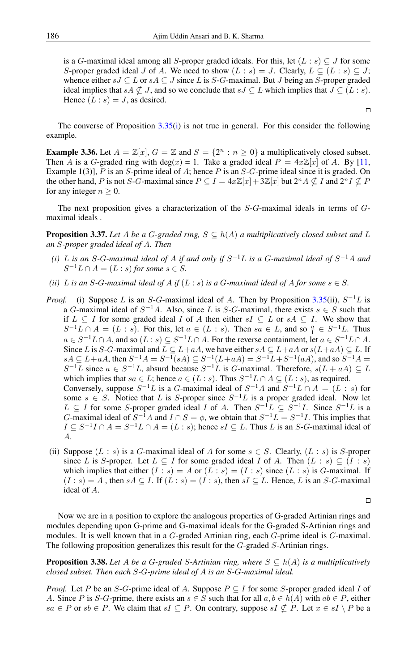is a G-maximal ideal among all S-proper graded ideals. For this, let  $(L : s) \subseteq J$  for some S-proper graded ideal J of A. We need to show  $(L : s) = J$ . Clearly,  $L \subseteq (L : s) \subseteq J$ ; whence either  $sJ \subseteq L$  or  $sA \subseteq J$  since L is S-G-maximal. But J being an S-proper graded ideal implies that  $sA \nsubseteq J$ , and so we conclude that  $sJ \subseteq L$  which implies that  $J \subseteq (L : s)$ . Hence  $(L : s) = J$ , as desired.

The converse of Proposition  $3.35(i)$  $3.35(i)$  is not true in general. For this consider the following example.

**Example 3.36.** Let  $A = \mathbb{Z}[x]$ ,  $G = \mathbb{Z}$  and  $S = \{2^n : n \ge 0\}$  a multiplicatively closed subset. Then A is a G-graded ring with deg(x) = 1. Take a graded ideal  $P = 4x\mathbb{Z}[x]$  of A. By [\[11,](#page-17-8) Example 1(3)],  $P$  is an  $S$ -prime ideal of  $A$ ; hence  $P$  is an  $S$ - $G$ -prime ideal since it is graded. On the other hand, P is not S-G-maximal since  $P \subseteq I = 4x\mathbb{Z}[x] + 3\mathbb{Z}[x]$  but  $2^n A \nsubseteq I$  and  $2^n I \nsubseteq P$ for any integer  $n \geq 0$ .

The next proposition gives a characterization of the S-G-maximal ideals in terms of Gmaximal ideals .

<span id="page-11-0"></span>**Proposition 3.37.** Let A be a G-graded ring,  $S \subseteq h(A)$  a multiplicatively closed subset and L *an* S*-proper graded ideal of* A*. Then*

- (*i*) L is an S-G-maximal ideal of A if and only if  $S^{-1}L$  is a G-maximal ideal of  $S^{-1}A$  and  $S^{-1}L \cap A = (L : s)$  for some  $s \in S$ .
- *(ii)* L *is an* S-G-maximal ideal of A *if*  $(L : s)$  *is a* G-maximal ideal of A for some  $s \in S$ .
- *Proof.* (i) Suppose L is an S-G-maximal ideal of A. Then by Proposition [3.35\(](#page-10-0)ii),  $S^{-1}L$  is a G-maximal ideal of  $S^{-1}A$ . Also, since L is S-G-maximal, there exists  $s \in S$  such that if  $L \subseteq I$  for some graded ideal I of A then either  $sI \subseteq L$  or  $sA \subseteq I$ . We show that  $S^{-1}L \cap A = (L : s)$ . For this, let  $a \in (L : s)$ . Then  $sa \in L$ , and so  $\frac{a}{1} \in S^{-1}L$ . Thus  $a \in S^{-1}L \cap A$ , and so  $(L : s) \subseteq S^{-1}L \cap A$ . For the reverse containment, let  $a \in S^{-1}L \cap A$ . Since L is S-G-maximal and  $L \subseteq L+aA$ , we have either  $sA \subseteq L+aA$  or  $s(L+aA) \subseteq L$ . If  $sA \subseteq L+aA$ , then  $S^{-1}A = S^{-1}(sA) \subseteq S^{-1}(L+aA) = S^{-1}L+S^{-1}(aA)$ , and so  $S^{-1}A =$  $S^{-1}L$  since  $a \in S^{-1}L$ , absurd because  $S^{-1}L$  is G-maximal. Therefore,  $s(L + aA) \subseteq L$ which implies that  $sa \in L$ ; hence  $a \in (L : s)$ . Thus  $S^{-1}L \cap A \subseteq (L : s)$ , as required. Conversely, suppose  $S^{-1}L$  is a G-maximal ideal of  $S^{-1}A$  and  $S^{-1}L \cap A = (L : s)$  for some  $s \in S$ . Notice that L is S-proper since  $S^{-1}L$  is a proper graded ideal. Now let  $L \subseteq I$  for some *S*-proper graded ideal *I* of *A*. Then  $S^{-1}L \subseteq S^{-1}I$ . Since  $S^{-1}L$  is a *G*-maximal ideal of  $S^{-1}A$  and  $I \cap S = \phi$ , we obtain that  $S^{-1}L = S^{-1}I$ . This implies that  $I \subseteq S^{-1}I \cap A = S^{-1}L \cap A = (L : s)$ ; hence  $sI \subseteq L$ . Thus L is an S-G-maximal ideal of A.
- (ii) Suppose  $(L : s)$  is a G-maximal ideal of A for some  $s \in S$ . Clearly,  $(L : s)$  is S-proper since L is S-proper. Let  $L \subseteq I$  for some graded ideal I of A. Then  $(L : s) \subseteq (I : s)$ which implies that either  $(I : s) = A$  or  $(L : s) = (I : s)$  since  $(L : s)$  is G-maximal. If  $(I : s) = A$ , then  $sA \subseteq I$ . If  $(L : s) = (I : s)$ , then  $sI \subseteq L$ . Hence, L is an S-G-maximal ideal of A.

 $\Box$ 

 $\Box$ 

Now we are in a position to explore the analogous properties of G-graded Artinian rings and modules depending upon G-prime and G-maximal ideals for the G-graded S-Artinian rings and modules. It is well known that in a G-graded Artinian ring, each G-prime ideal is G-maximal. The following proposition generalizes this result for the G-graded S-Artinian rings.

<span id="page-11-1"></span>**Proposition 3.38.** Let A be a G-graded S-Artinian ring, where  $S \subseteq h(A)$  is a multiplicatively *closed subset. Then each* S*-*G*-prime ideal of* A *is an* S*-*G*-maximal ideal.*

*Proof.* Let P be an S-G-prime ideal of A. Suppose  $P \subseteq I$  for some S-proper graded ideal I of A. Since P is S-G-prime, there exists an  $s \in S$  such that for all  $a, b \in h(A)$  with  $ab \in P$ , either  $sa \in P$  or  $sb \in P$ . We claim that  $sI \subseteq P$ . On contrary, suppose  $sI \nsubseteq P$ . Let  $x \in sI \setminus P$  be a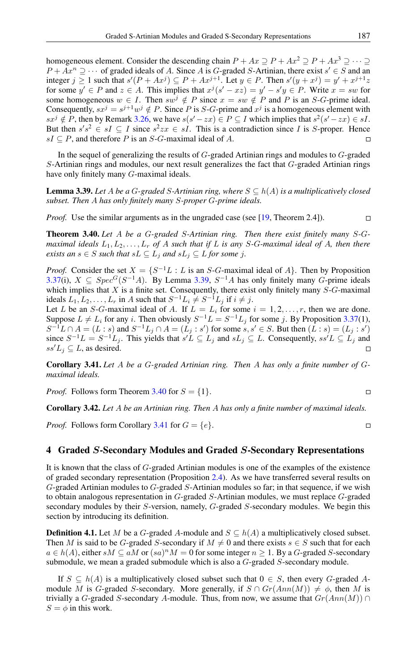homogeneous element. Consider the descending chain  $P + Ax \supseteq P + Ax^2 \supseteq P + Ax^3 \supseteq \cdots$  $P + Ax^n \supseteq \cdots$  of graded ideals of A. Since A is G-graded S-Artinian, there exist  $s' \in S$  and an integer  $j \ge 1$  such that  $s'(P + Ax^j) \subseteq P + Ax^{j+1}$ . Let  $y \in P$ . Then  $s'(y + x^j) = y' + x^{j+1}z$ for some  $y' \in P$  and  $z \in A$ . This implies that  $x^j(s'-xz) = y' - s'y \in P$ . Write  $x = sw$  for some homogeneous  $w \in I$ . Then  $sw^j \notin P$  since  $x = sw \notin P$  and P is an S-G-prime ideal. Consequently,  $sx^j = s^{j+1}w^j \notin P$ . Since P is S-G-prime and  $x^j$  is a homogeneous element with  $sx^j \notin P$ , then by Remark [3.26,](#page-8-1) we have  $s(s'-zx) \in P \subseteq I$  which implies that  $s^2(s'-zx) \in sI$ . But then  $s's^2 \in sI \subseteq I$  since  $s^2zx \in sI$ . This is a contradiction since I is S-proper. Hence  $sI \subseteq P$ , and therefore P is an S-G-maximal ideal of A.  $\Box$ 

In the sequel of generalizing the results of G-graded Artinian rings and modules to G-graded S-Artinian rings and modules, our next result generalizes the fact that G-graded Artinian rings have only finitely many G-maximal ideals.

<span id="page-12-1"></span>**Lemma 3.39.** Let A be a G-graded S-Artinian ring, where  $S \subseteq h(A)$  is a multiplicatively closed *subset. Then* A *has only finitely many* S*-proper* G*-prime ideals.*

*Proof.* Use the similar arguments as in the ungraded case (see [\[19,](#page-18-4) Theorem 2.4]).  $\Box$ 

<span id="page-12-0"></span>Theorem 3.40. *Let* A *be a* G*-graded* S*-Artinian ring. Then there exist finitely many* S*-*G*maximal ideals*  $L_1, L_2, \ldots, L_r$  *of* A *such that if* L *is any* S-G-maximal ideal of A, then there *exists an*  $s \in S$  *such that*  $sL \subseteq L_j$  *and*  $sL_j \subseteq L$  *for some j.* 

*Proof.* Consider the set  $X = \{S^{-1}L : L \text{ is an } S \text{-} G\text{-} \text{maximal ideal of } A\}$ . Then by Proposition [3.37\(](#page-11-0)i),  $X \subseteq Spec^{G}(S^{-1}A)$ . By Lemma [3.39,](#page-12-1)  $S^{-1}A$  has only finitely many G-prime ideals which implies that  $X$  is a finite set. Consequently, there exist only finitely many  $S-G$ -maximal ideals  $L_1, L_2, \ldots, L_r$  in A such that  $S^{-1}L_i \neq S^{-1}L_j$  if  $i \neq j$ .

Let L be an S-G-maximal ideal of A. If  $L = L_i$  for some  $i = 1, 2, ..., r$ , then we are done. Suppose  $L \neq L_i$  for any i. Then obviously  $S^{-1}L = S^{-1}L_j$  for some j. By Proposition [3.37\(](#page-11-0)1),  $S^{-1}L \cap A = (L:s)$  and  $S^{-1}L_j \cap A = (L_j:s')$  for some  $s, s' \in S$ . But then  $(L:s) = (L_j:s')$ since  $S^{-1}L = S^{-1}L_j$ . This yields that  $s'L \subseteq L_j$  and  $sL_j \subseteq L$ . Consequently,  $ss'L \subseteq L_j$  and  $ss'L_j \subseteq L$ , as desired.

<span id="page-12-2"></span>Corollary 3.41. *Let* A *be a* G*-graded Artinian ring. Then* A *has only a finite number of* G*maximal ideals.*

*Proof.* Follows form Theorem [3.40](#page-12-0) for  $S = \{1\}$ .

Corollary 3.42. *Let* A *be an Artinian ring. Then* A *has only a finite number of maximal ideals.*

*Proof.* Follows form Corollary [3.41](#page-12-2) for  $G = \{e\}.$ 

## 4 Graded S-Secondary Modules and Graded S-Secondary Representations

It is known that the class of G-graded Artinian modules is one of the examples of the existence of graded secondary representation (Proposition [2.4\)](#page-2-1). As we have transferred several results on G-graded Artinian modules to G-graded S-Artinian modules so far; in that sequence, if we wish to obtain analogous representation in G-graded S-Artinian modules, we must replace G-graded secondary modules by their S-version, namely, G-graded S-secondary modules. We begin this section by introducing its definition.

**Definition 4.1.** Let M be a G-graded A-module and  $S \subseteq h(A)$  a multiplicatively closed subset. Then M is said to be G-graded S-secondary if  $M \neq 0$  and there exists  $s \in S$  such that for each  $a \in h(A)$ , either  $sM \subseteq aM$  or  $(sa)^nM = 0$  for some integer  $n \ge 1$ . By a G-graded S-secondary submodule, we mean a graded submodule which is also a G-graded S-secondary module.

If  $S \subseteq h(A)$  is a multiplicatively closed subset such that  $0 \in S$ , then every G-graded Amodule M is G-graded S-secondary. More generally, if  $S \cap Gr(Ann(M)) \neq \phi$ , then M is trivially a G-graded S-secondary A-module. Thus, from now, we assume that  $Gr(Ann(M)) \cap$  $S = \phi$  in this work.

$$
\Box
$$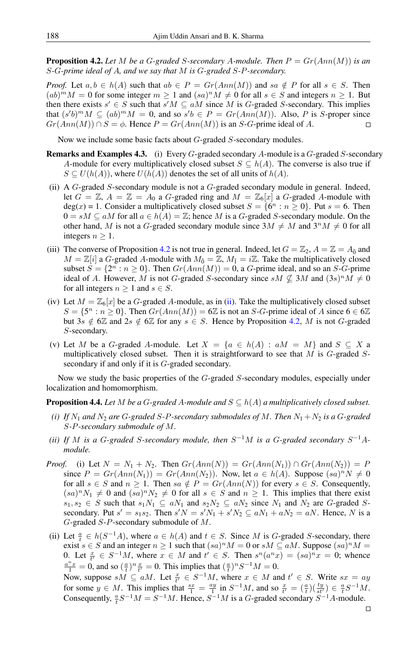<span id="page-13-0"></span>**Proposition 4.2.** Let M be a G-graded S-secondary A-module. Then  $P = Gr(Ann(M))$  is an S*-*G*-prime ideal of* A*, and we say that* M *is* G*-graded* S*-*P*-secondary.*

*Proof.* Let  $a, b \in h(A)$  such that  $ab \in P = Gr(Ann(M))$  and  $sa \notin P$  for all  $s \in S$ . Then  $(ab)^m M = 0$  for some integer  $m \ge 1$  and  $(sa)^n M \ne 0$  for all  $s \in S$  and integers  $n \ge 1$ . But then there exists  $s' \in S$  such that  $s'M \subseteq aM$  since M is G-graded S-secondary. This implies that  $(s'b)^m M \subseteq (ab)^m M = 0$ , and so  $s'b \in P = Gr(Ann(M))$ . Also, P is S-proper since  $Gr(Ann(M)) \cap S = \phi$ . Hence  $P = Gr(Ann(M))$  is an S-G-prime ideal of A.  $\Box$ 

Now we include some basic facts about G-graded S-secondary modules.

- **Remarks and Examples 4.3.** (i) Every  $G$ -graded secondary A-module is a  $G$ -graded  $S$ -secondary A-module for every multiplicatively closed subset  $S \subseteq h(A)$ . The converse is also true if  $S \subseteq U(h(A))$ , where  $U(h(A))$  denotes the set of all units of  $h(A)$ .
- <span id="page-13-1"></span>(ii) A  $G$ -graded  $S$ -secondary module is not a  $G$ -graded secondary module in general. Indeed, let  $G = \mathbb{Z}$ ,  $A = \mathbb{Z} = A_0$  a G-graded ring and  $M = \mathbb{Z}_6[x]$  a G-graded A-module with  $deg(x) = 1$ . Consider a multiplicatively closed subset  $S = \{6^n : n \ge 0\}$ . Put  $s = 6$ . Then  $0 = sM \subseteq aM$  for all  $a \in h(A) = \mathbb{Z}$ ; hence M is a G-graded S-secondary module. On the other hand, M is not a G-graded secondary module since  $3M \neq M$  and  $3^nM \neq 0$  for all integers  $n \geq 1$ .
- (iii) The converse of Proposition [4.2](#page-13-0) is not true in general. Indeed, let  $G = \mathbb{Z}_2$ ,  $A = \mathbb{Z} = A_{\bar{0}}$  and  $M = \mathbb{Z}[i]$  a G-graded A-module with  $M_{\bar{0}} = \mathbb{Z}$ ,  $M_{\bar{1}} = i\mathbb{Z}$ . Take the multiplicatively closed subset  $S = \{2^n : n \ge 0\}$ . Then  $Gr(Ann(M)) = 0$ , a G-prime ideal, and so an S-G-prime ideal of A. However, M is not G-graded S-secondary since  $sM \nsubseteq 3M$  and  $(3s)^nM \neq 0$ for all integers  $n \geq 1$  and  $s \in S$ .
- (iv) Let  $M = \mathbb{Z}_6[x]$  be a G-graded A-module, as in [\(ii\)](#page-13-1). Take the multiplicatively closed subset  $S = \{5^n : n \ge 0\}$ . Then  $Gr(Ann(M)) = 6\mathbb{Z}$  is not an S-G-prime ideal of A since  $6 \in 6\mathbb{Z}$ but  $3s \notin 6\mathbb{Z}$  and  $2s \notin 6\mathbb{Z}$  for any  $s \in S$ . Hence by Proposition [4.2,](#page-13-0) M is not G-graded S-secondary.
- (v) Let M be a G-graded A-module. Let  $X = \{a \in h(A) : aM = M\}$  and  $S \subseteq X$  a multiplicatively closed subset. Then it is straightforward to see that  $M$  is  $G$ -graded  $S$ secondary if and only if it is G-graded secondary.

Now we study the basic properties of the G-graded S-secondary modules, especially under localization and homomorphism.

#### <span id="page-13-2"></span>**Proposition 4.4.** *Let* M *be a* G-graded A-module and  $S \subseteq h(A)$  a multiplicatively closed subset.

- <span id="page-13-3"></span>*(i) If*  $N_1$  *and*  $N_2$  *are* G-graded S-P-secondary submodules of M. Then  $N_1 + N_2$  *is a* G-graded S*-*P*-secondary submodule of* M*.*
- <span id="page-13-4"></span>(*ii*) If M is a G-graded S-secondary module, then  $S^{-1}M$  is a G-graded secondary  $S^{-1}A$ *module.*
- *Proof.* (i) Let  $N = N_1 + N_2$ . Then  $Gr(Ann(N)) = Gr(Ann(N_1)) \cap Gr(Ann(N_2)) = P$ since  $P = Gr(Ann(N_1)) = Gr(Ann(N_2))$ . Now, let  $a \in h(A)$ . Suppose  $(sa)^nN \neq 0$ for all  $s \in S$  and  $n \ge 1$ . Then  $sa \notin P = Gr(Ann(N))$  for every  $s \in S$ . Consequently,  $(sa)^nN_1 \neq 0$  and  $(sa)^nN_2 \neq 0$  for all  $s \in S$  and  $n \geq 1$ . This implies that there exist  $s_1, s_2 \in S$  such that  $s_1N_1 \subseteq aN_1$  and  $s_2N_2 \subseteq aN_2$  since  $N_1$  and  $N_2$  are G-graded Ssecondary. Put  $s' = s_1 s_2$ . Then  $s'N = s'N_1 + s'N_2 \subseteq aN_1 + aN_2 = aN$ . Hence, N is a G-graded S-P-secondary submodule of M.
- (ii) Let  $\frac{a}{t} \in h(S^{-1}A)$ , where  $a \in h(A)$  and  $t \in S$ . Since M is G-graded S-secondary, there exist  $s \in S$  and an integer  $n \ge 1$  such that  $(sa)^n M = 0$  or  $sM \subseteq aM$ . Suppose  $(sa)^n M =$ 0. Let  $\frac{x}{t'} \in S^{-1}M$ , where  $x \in M$  and  $t' \in S$ . Then  $s^n(a^n x) = (sa)^n x = 0$ ; whence  $\frac{a^n x}{1} = 0$ , and so  $\left(\frac{a}{t}\right)^n \frac{x}{t'} = 0$ . This implies that  $\left(\frac{a}{t}\right)^n S^{-1} M = 0$ . Now, suppose  $sM \subseteq aM$ . Let  $\frac{x}{t'} \in S^{-1}M$ , where  $x \in M$  and  $t' \in S$ . Write  $sx = ay$ for some  $y \in M$ . This implies that  $\frac{sx}{1} = \frac{ay}{1}$  in  $S^{-1}M$ , and so  $\frac{x}{t'} = \left(\frac{a}{t}\right)\left(\frac{ty}{st'}\right) \in \frac{a}{t}S^{-1}M$ . Consequently,  $\frac{a}{t}S^{-1}M = S^{-1}M$ . Hence,  $S^{-1}M$  is a G-graded secondary  $S^{-1}A$ -module.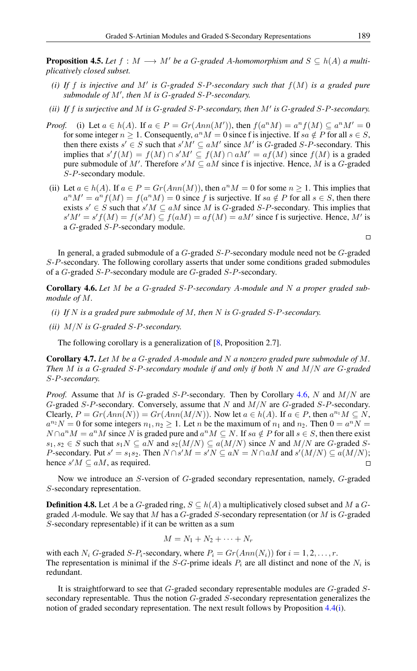**Proposition 4.5.** Let  $f : M \longrightarrow M'$  be a G-graded A-homomorphism and  $S \subseteq h(A)$  a multi*plicatively closed subset.*

- *(i)* If f is injective and M' is G-graded S-P-secondary such that  $f(M)$  is a graded pure submodule of M', then M is G-graded S-P-secondary.
- *(ii)* If  $f$  *is surjective and*  $M$  *is*  $G$ -graded  $S$ - $P$ -secondary, then  $M'$  *is*  $G$ -graded  $S$ - $P$ -secondary.
- *Proof.* (i) Let  $a \in h(A)$ . If  $a \in P = Gr(Ann(M'))$ , then  $f(a^nM) = a^n f(M) \subseteq a^nM' = 0$ for some integer  $n \geq 1$ . Consequently,  $a^n M = 0$  since f is injective. If  $sa \notin P$  for all  $s \in S$ , then there exists  $s' \in S$  such that  $s'M' \subseteq aM'$  since M' is G-graded S-P-secondary. This implies that  $s'f(M) = f(M) \cap s'M' \subseteq f(M) \cap aM' = af(M)$  since  $f(M)$  is a graded pure submodule of M'. Therefore  $s'M \subseteq aM$  since f is injective. Hence, M is a G-graded S-P-secondary module.
- (ii) Let  $a \in h(A)$ . If  $a \in P = Gr(Ann(M))$ , then  $a^n M = 0$  for some  $n \ge 1$ . This implies that  $a^n M' = a^n f(M) = f(a^n M) = 0$  since f is surjective. If sa  $\notin P$  for all  $s \in S$ , then there exists  $s' \in S$  such that  $s'M \subseteq aM$  since M is G-graded S-P-secondary. This implies that  $s'M' = s'f(M) = f(s'M) \subseteq f(aM) = af(M) = aM'$  since f is surjective. Hence, M' is a G-graded S-P-secondary module.

In general, a graded submodule of a G-graded S-P-secondary module need not be G-graded S-P-secondary. The following corollary asserts that under some conditions graded submodules of a G-graded S-P-secondary module are G-graded S-P-secondary.

<span id="page-14-0"></span>Corollary 4.6. *Let* M *be a* G*-graded* S*-*P*-secondary* A*-module and* N *a proper graded submodule of* M*.*

- *(i) If* N *is a graded pure submodule of* M*, then* N *is* G*-graded* S*-*P*-secondary.*
- *(ii)* M/N *is* G*-graded* S*-*P*-secondary.*

The following corollary is a generalization of [\[8,](#page-17-10) Proposition 2.7].

Corollary 4.7. *Let* M *be a* G*-graded* A*-module and* N *a nonzero graded pure submodule of* M*. Then* M *is a* G*-graded* S*-*P*-secondary module if and only if both* N *and* M/N *are* G*-graded* S*-*P*-secondary.*

*Proof.* Assume that M is G-graded S-P-secondary. Then by Corollary [4.6,](#page-14-0) N and  $M/N$  are G-graded S-P-secondary. Conversely, assume that N and M/N are G-graded S-P-secondary. Clearly,  $P = Gr(Ann(N)) = Gr(Ann(M/N))$ . Now let  $a \in h(A)$ . If  $a \in P$ , then  $a^{n_1}M \subseteq N$ ,  $a^{n_2}N = 0$  for some integers  $n_1, n_2 \ge 1$ . Let *n* be the maximum of  $n_1$  and  $n_2$ . Then  $0 = a^n N =$  $N \cap a^n M = a^n M$  since N is graded pure and  $a^n M \subseteq N$ . If  $sa \notin P$  for all  $s \in S$ , then there exist  $s_1, s_2 \in S$  such that  $s_1 N \subseteq aN$  and  $s_2(M/N) \subseteq a(M/N)$  since N and  $M/N$  are G-graded S-*P*-secondary. Put  $s' = s_1 s_2$ . Then  $N \cap s'M = s'N \subseteq aN = N \cap aM$  and  $s'(M/N) \subseteq a(M/N)$ ; hence  $s'M \subseteq aM$ , as required.  $\Box$ 

Now we introduce an S-version of G-graded secondary representation, namely, G-graded S-secondary representation.

**Definition 4.8.** Let A be a G-graded ring,  $S \subseteq h(A)$  a multiplicatively closed subset and M a Ggraded A-module. We say that M has a  $G$ -graded S-secondary representation (or M is  $G$ -graded S-secondary representable) if it can be written as a sum

$$
M = N_1 + N_2 + \cdots + N_r
$$

with each  $N_i$  G-graded S-P<sub>i</sub>-secondary, where  $P_i = Gr(Ann(N_i))$  for  $i = 1, 2, ..., r$ . The representation is minimal if the S-G-prime ideals  $P_i$  are all distinct and none of the  $N_i$  is redundant.

It is straightforward to see that G-graded secondary representable modules are G-graded Ssecondary representable. Thus the notion G-graded S-secondary representation generalizes the notion of graded secondary representation. The next result follows by Proposition [4.4\(](#page-13-2)[i\)](#page-13-3).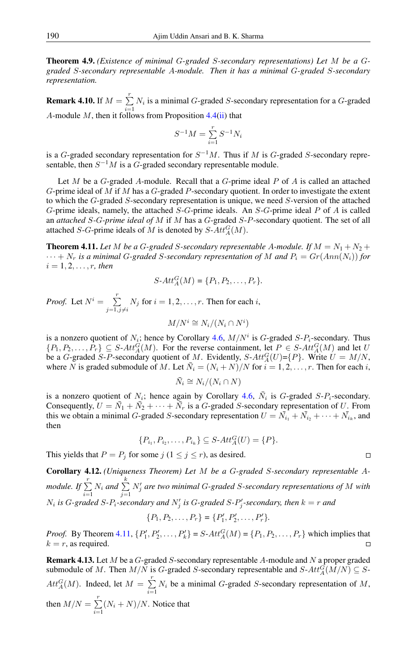Theorem 4.9. *(Existence of minimal* G*-graded* S*-secondary representations) Let* M *be a* G*graded* S*-secondary representable* A*-module. Then it has a minimal* G*-graded* S*-secondary representation.*

**Remark 4.10.** If  $M = \sum^{r}$  $\sum_{i=1} N_i$  is a minimal G-graded S-secondary representation for a G-graded A-module  $M$ , then it follows from Proposition [4.4](#page-13-2)[\(ii\)](#page-13-4) that

$$
S^{-1}M = \sum_{i=1}^{r} S^{-1}N_i
$$

is a G-graded secondary representation for  $S^{-1}M$ . Thus if M is G-graded S-secondary representable, then  $S^{-1}M$  is a G-graded secondary representable module.

Let M be a  $G$ -graded A-module. Recall that a  $G$ -prime ideal P of A is called an attached G-prime ideal of M if M has a G-graded P-secondary quotient. In order to investigate the extent to which the G-graded S-secondary representation is unique, we need S-version of the attached G-prime ideals, namely, the attached S-G-prime ideals. An S-G-prime ideal P of A is called an *attached* S*-*G*-prime ideal of* M if M has a G-graded S-P-secondary quotient. The set of all attached S-G-prime ideals of M is denoted by  $S$ - $Att_A^G(M)$ .

<span id="page-15-0"></span>**Theorem 4.11.** Let M be a G-graded S-secondary representable A-module. If  $M = N_1 + N_2 +$  $\cdots + N_r$  *is a minimal G-graded S-secondary representation of* M and  $P_i = Gr(Ann(N_i))$  for  $i = 1, 2, \ldots, r$ , then

$$
S\text{-}Att_A^G(M) = \{P_1, P_2, \ldots, P_r\}.
$$

*Proof.* Let  $N^i = \sum_{i=1}^r$  $\sum_{j=1, j\neq i} N_j$  for  $i = 1, 2, \dots, r$ . Then for each i,

$$
M/N^i \cong N_i/(N_i \cap N^i)
$$

is a nonzero quotient of  $N_i$ ; hence by Corollary [4.6,](#page-14-0)  $M/N^i$  is G-graded S- $P_i$ -secondary. Thus  $\{P_1, P_2, \ldots, P_r\} \subseteq S$ - $Att_A^G(M)$ . For the reverse containment, let  $P \in S$ - $Att_A^G(M)$  and let U be a *G*-graded *S*-*P*-secondary quotient of M. Evidently, *S*- $Att_A^G(U)$ ={*P*}. Write  $U = M/N$ , where N is graded submodule of M. Let  $\bar{N}_i = (N_i + N)/N$  for  $i = 1, 2, ..., r$ . Then for each i,

$$
\bar{N}_i \cong N_i/(N_i \cap N)
$$

is a nonzero quotient of  $N_i$ ; hence again by Corollary [4.6,](#page-14-0)  $\bar{N}_i$  is G-graded S- $P_i$ -secondary. Consequently,  $U = \overline{N}_1 + \overline{N}_2 + \cdots + \overline{N}_r$  is a *G*-graded *S*-secondary representation of *U*. From this we obtain a minimal G-graded S-secondary representation  $U = \overline{N}_{i_1} + \overline{N}_{i_2} + \cdots + \overline{N}_{i_k}$ , and then

$$
\{P_{i_1}, P_{i_2}, \dots, P_{i_k}\} \subseteq S \text{-} Att_A^G(U) = \{P\}.
$$

This yields that  $P = P_j$  for some  $j$   $(1 \le j \le r)$ , as desired.

Corollary 4.12. *(Uniqueness Theorem) Let* M *be a* G*-graded* S*-secondary representable* A*module.* If  $\sum^r$  $\sum_{i=1}^r N_i$  and  $\sum_{j=1}^k$  $j=1$  $N'_j$  are two minimal G-graded S-secondary representations of M with  $N_i$  is *G*-graded *S*- $P_i$ -secondary and  $N'_j$  is *G*-graded *S*- $P'_j$ -secondary, then  $k = r$  and

$$
\{P_1, P_2, \ldots, P_r\} = \{P'_1, P'_2, \ldots, P'_r\}.
$$

*Proof.* By Theorem [4.11,](#page-15-0)  $\{P'_1, P'_2, \ldots, P'_k\} = S - At \mathcal{G}(M) = \{P_1, P_2, \ldots, P_r\}$  which implies that  $k = r$ , as required.

<span id="page-15-1"></span>**Remark 4.13.** Let  $M$  be a  $G$ -graded  $S$ -secondary representable  $A$ -module and  $N$  a proper graded submodule of M. Then  $M/N$  is G-graded S-secondary representable and  $S\text{-}Att_A^G(M/N) \subseteq S\text{-}$  $Att_A^G(M)$ . Indeed, let  $M = \sum_{r=1}^{r}$  $\sum_{i=1} N_i$  be a minimal *G*-graded *S*-secondary representation of *M*, then  $M/N = \sum_{r=1}^{r}$  $\sum_{i=1}^{N} (N_i + N) / N$ . Notice that

$$
\qquad \qquad \Box
$$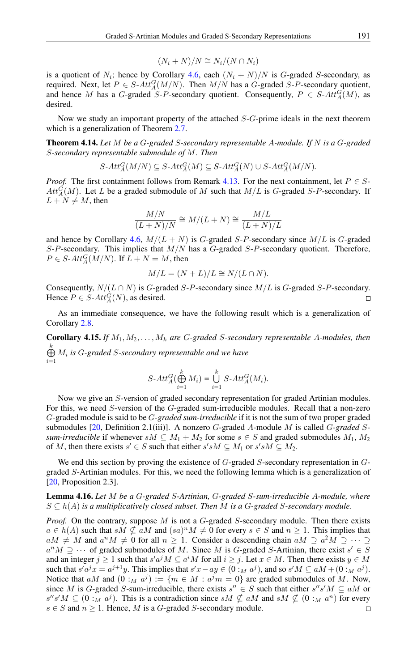$$
(N_i + N)/N \cong N_i/(N \cap N_i)
$$

is a quotient of  $N_i$ ; hence by Corollary [4.6,](#page-14-0) each  $(N_i + N)/N$  is G-graded S-secondary, as required. Next, let  $P \in S$ - $Att_A^G(M/N)$ . Then  $M/N$  has a G-graded S-P-secondary quotient, and hence M has a G-graded S-P-secondary quotient. Consequently,  $P \in S$ - $Att_A^G(M)$ , as desired.

Now we study an important property of the attached S-G-prime ideals in the next theorem which is a generalization of Theorem [2.7.](#page-2-2)

<span id="page-16-0"></span>Theorem 4.14. *Let* M *be a* G*-graded* S*-secondary representable* A*-module. If* N *is a* G*-graded* S*-secondary representable submodule of* M*. Then*

$$
S\text{-}Att_A^G(M/N) \subseteq S\text{-}Att_A^G(M) \subseteq S\text{-}Att_A^G(N) \cup S\text{-}Att_A^G(M/N).
$$

*Proof.* The first containment follows from Remark [4.13.](#page-15-1) For the next containment, let  $P \in S$ - $Att_A^G(M)$ . Let L be a graded submodule of M such that  $M/L$  is G-graded S-P-secondary. If  $L + N \neq M$ , then

$$
\frac{M/N}{(L+N)/N} \cong M/(L+N) \cong \frac{M/L}{(L+N)/L}
$$

and hence by Corollary [4.6,](#page-14-0)  $M/(L+N)$  is G-graded S-P-secondary since  $M/L$  is G-graded  $S-P$ -secondary. This implies that  $M/N$  has a  $G$ -graded  $S-P$ -secondary quotient. Therefore,  $P \in S$ - $Att_A^G(M/N)$ . If  $L + N = M$ , then

$$
M/L = (N + L)/L \cong N/(L \cap N).
$$

Consequently,  $N/(L \cap N)$  is G-graded S-P-secondary since  $M/L$  is G-graded S-P-secondary. Hence  $P \in S$ - $Att_A^G(N)$ , as desired.  $\Box$ 

As an immediate consequence, we have the following result which is a generalization of Corollary [2.8.](#page-2-3)

Corollary 4.15. *If* M1, M2, . . . , M<sup>k</sup> *are* G*-graded* S*-secondary representable* A*-modules, then* L k M<sup>i</sup> *is* G*-graded* S*-secondary representable and we have*  $i=1$ 

$$
S\text{-}Att_A^G(\bigoplus_{i=1}^k M_i) = \bigcup_{i=1}^k S\text{-}Att_A^G(M_i).
$$

Now we give an S-version of graded secondary representation for graded Artinian modules. For this, we need S-version of the G-graded sum-irreducible modules. Recall that a non-zero G-graded module is said to be G*-graded sum-irreducible* if it is not the sum of two proper graded submodules [\[20,](#page-18-2) Definition 2.1(iii)]. A nonzero G-graded A-module M is called G*-graded* S*sum-irreducible* if whenever  $sM \subseteq M_1 + M_2$  for some  $s \in S$  and graded submodules  $M_1, M_2$ of M, then there exists  $s' \in S$  such that either  $s'sM \subseteq M_1$  or  $s'sM \subseteq M_2$ .

We end this section by proving the existence of G-graded S-secondary representation in Ggraded S-Artinian modules. For this, we need the following lemma which is a generalization of [\[20,](#page-18-2) Proposition 2.3].

## <span id="page-16-1"></span>Lemma 4.16. *Let* M *be a* G*-graded* S*-Artinian,* G*-graded* S*-sum-irreducible* A*-module, where*  $S \subseteq h(A)$  *is a multiplicatively closed subset. Then M is a G-graded S-secondary module.*

*Proof.* On the contrary, suppose M is not a G-graded S-secondary module. Then there exists  $a \in h(A)$  such that  $sM \nsubseteq aM$  and  $(sa)^nM \neq 0$  for every  $s \in S$  and  $n \geq 1$ . This implies that  $aM \neq M$  and  $a^nM \neq 0$  for all  $n \geq 1$ . Consider a descending chain  $aM \supseteq a^2M \supseteq \cdots \supseteq a^n$  $a^n M \supseteq \cdots$  of graded submodules of M. Since M is G-graded S-Artinian, there exist  $s' \in S$ and an integer  $j \ge 1$  such that  $s'a^jM \subseteq a^iM$  for all  $i \ge j$ . Let  $x \in M$ . Then there exists  $y \in M$ such that  $s'a^jx = a^{j+1}y$ . This implies that  $s'x - ay \in (0 :_M a^j)$ , and so  $s'M \subseteq aM + (0 :_M a^j)$ . Notice that aM and  $(0:_{M} a^{j}) := \{m \in M : a^{j}m = 0\}$  are graded submodules of M. Now, since M is G-graded S-sum-irreducible, there exists  $s'' \in S$  such that either  $s''s'M \subseteq aM$  or  $s''s'M \subseteq (0:_{M} a^{j}).$  This is a contradiction since  $sM \nsubseteq aM$  and  $sM \nsubseteq (0:_{M} a^{n})$  for every  $s \in S$  and  $n \geq 1$ . Hence, M is a G-graded S-secondary module.  $\Box$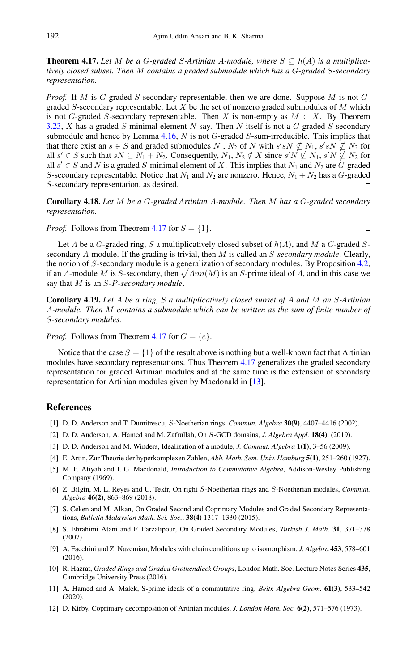<span id="page-17-11"></span>**Theorem 4.17.** Let M be a G-graded S-Artinian A-module, where  $S \subseteq h(A)$  is a multiplica*tively closed subset. Then* M *contains a graded submodule which has a* G*-graded* S*-secondary representation.*

*Proof.* If M is G-graded S-secondary representable, then we are done. Suppose M is not Ggraded S-secondary representable. Let X be the set of nonzero graded submodules of  $M$  which is not G-graded S-secondary representable. Then X is non-empty as  $M \in X$ . By Theorem [3.23,](#page-7-0) X has a graded S-minimal element N say. Then N itself is not a  $G$ -graded S-secondary submodule and hence by Lemma  $4.16$ , N is not G-graded S-sum-irreducible. This implies that that there exist an  $s \in S$  and graded submodules  $N_1$ ,  $N_2$  of N with  $s'sN \nsubseteq N_1$ ,  $s'sN \nsubseteq N_2$  for all  $s' \in S$  such that  $sN \subseteq N_1 + N_2$ . Consequently,  $N_1, N_2 \notin X$  since  $s'N \nsubseteq N_1$ ,  $s'N \nsubseteq N_2$  for all  $s' \in S$  and N is a graded S-minimal element of X. This implies that  $N_1$  and  $N_2$  are G-graded S-secondary representable. Notice that  $N_1$  and  $N_2$  are nonzero. Hence,  $N_1 + N_2$  has a G-graded S-secondary representation, as desired.

Corollary 4.18. *Let* M *be a* G*-graded Artinian* A*-module. Then* M *has a* G*-graded secondary representation.*

*Proof.* Follows from Theorem [4.17](#page-17-11) for  $S = \{1\}$ .

Let A be a G-graded ring, S a multiplicatively closed subset of  $h(A)$ , and M a G-graded Ssecondary A-module. If the grading is trivial, then M is called an S*-secondary module*. Clearly, the notion of S-secondary module is a generalization of secondary modules. By Proposition [4.2,](#page-13-0) if an A-module M is S-secondary, then  $\sqrt{Ann(M)}$  is an S-prime ideal of A, and in this case we say that M is an S*-*P*-secondary module*.

Corollary 4.19. *Let* A *be a ring,* S *a multiplicatively closed subset of* A *and* M *an* S*-Artinian* A*-module. Then* M *contains a submodule which can be written as the sum of finite number of* S*-secondary modules.*

*Proof.* Follows from Theorem [4.17](#page-17-11) for  $G = \{e\}.$ 

Notice that the case  $S = \{1\}$  of the result above is nothing but a well-known fact that Artinian modules have secondary representations. Thus Theorem [4.17](#page-17-11) generalizes the graded secondary representation for graded Artinian modules and at the same time is the extension of secondary representation for Artinian modules given by Macdonald in [\[13\]](#page-18-1).

## <span id="page-17-0"></span>References

- <span id="page-17-4"></span>[1] D. D. Anderson and T. Dumitrescu, S-Noetherian rings, *Commun. Algebra* 30(9), 4407–4416 (2002).
- <span id="page-17-7"></span>[2] D. D. Anderson, A. Hamed and M. Zafrullah, On S-GCD domains, *J. Algebra Appl.* 18(4), (2019).
- <span id="page-17-13"></span>[3] D. D. Anderson and M. Winders, Idealization of a module, *J. Commut. Algebra* 1(1), 3–56 (2009).
- <span id="page-17-1"></span>[4] E. Artin, Zur Theorie der hyperkomplexen Zahlen, *Abh. Math. Sem. Univ. Hamburg* 5(1), 251–260 (1927).
- <span id="page-17-2"></span>[5] M. F. Atiyah and I. G. Macdonald, *Introduction to Commutative Algebra*, Addison-Wesley Publishing Company (1969).
- <span id="page-17-5"></span>[6] Z. Bilgin, M. L. Reyes and U. Tekir, On right S-Noetherian rings and S-Noetherian modules, *Commun. Algebra* 46(2), 863–869 (2018).
- <span id="page-17-9"></span>[7] S. Ceken and M. Alkan, On Graded Second and Coprimary Modules and Graded Secondary Representations, *Bulletin Malaysian Math. Sci. Soc.*, 38(4) 1317–1330 (2015).
- <span id="page-17-10"></span>[8] S. Ebrahimi Atani and F. Farzalipour, On Graded Secondary Modules, *Turkish J. Math.* 31, 371–378 (2007).
- <span id="page-17-6"></span>[9] A. Facchini and Z. Nazemian, Modules with chain conditions up to isomorphism, *J. Algebra* 453, 578–601 (2016).
- <span id="page-17-12"></span>[10] R. Hazrat, *Graded Rings and Graded Grothendieck Groups*, London Math. Soc. Lecture Notes Series 435, Cambridge University Press (2016).
- <span id="page-17-8"></span>[11] A. Hamed and A. Malek, S-prime ideals of a commutative ring, *Beitr. Algebra Geom.* 61(3), 533–542 (2020).
- <span id="page-17-3"></span>[12] D. Kirby, Coprimary decomposition of Artinian modules, *J. London Math. Soc.* 6(2), 571–576 (1973).

$$
\Box
$$